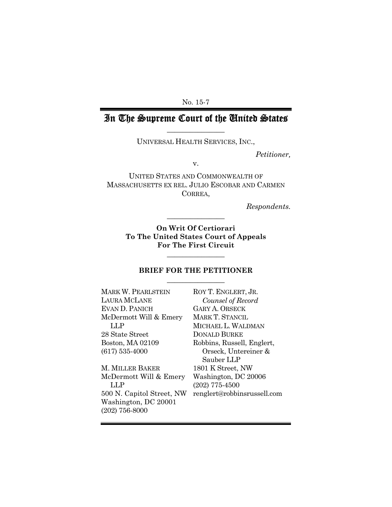No. 15-7

# In The Supreme Court of the United States  $\overline{\phantom{a}}$  , where  $\overline{\phantom{a}}$

UNIVERSAL HEALTH SERVICES, INC.,

*Petitioner,* 

v.

UNITED STATES AND COMMONWEALTH OF MASSACHUSETTS EX REL. JULIO ESCOBAR AND CARMEN CORREA,

*Respondents.* 

**On Writ Of Certiorari To The United States Court of Appeals For The First Circuit** 

 $\overline{\phantom{a}}$  , where  $\overline{\phantom{a}}$ 

 $\overline{\phantom{a}}$  , we can also the contract of  $\overline{\phantom{a}}$ 

### **BRIEF FOR THE PETITIONER**   $\overline{\phantom{a}}$  , where  $\overline{\phantom{a}}$

| MARK W. PEARLSTEIN        | ROY T. ENGLERT, JR.         |
|---------------------------|-----------------------------|
| LAURA MCLANE              | Counsel of Record           |
| EVAN D. PANICH            | <b>GARY A. ORSECK</b>       |
| McDermott Will & Emery    | MARK T. STANCIL             |
| LLP                       | MICHAEL L. WALDMAN          |
| 28 State Street           | <b>DONALD BURKE</b>         |
| Boston, MA 02109          | Robbins, Russell, Englert,  |
| $(617) 535 - 4000$        | Orseck, Untereiner &        |
|                           | Sauber LLP                  |
| M. MILLER BAKER           | 1801 K Street, NW           |
| McDermott Will & Emery    | Washington, DC 20006        |
| LLP                       | $(202)$ 775-4500            |
| 500 N. Capitol Street, NW | renglert@robbinsrussell.com |
| Washington, DC 20001      |                             |
| $(202)$ 756-8000          |                             |
|                           |                             |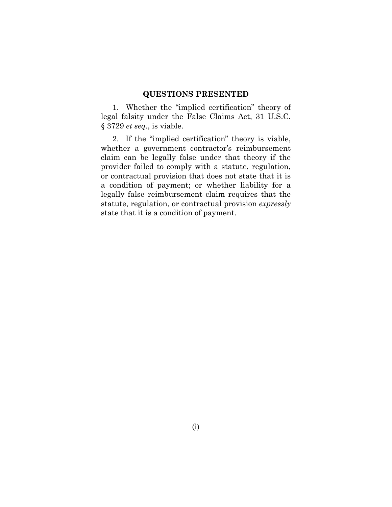### **QUESTIONS PRESENTED**

1. Whether the "implied certification" theory of legal falsity under the False Claims Act, 31 U.S.C. § 3729 *et seq.*, is viable.

2. If the "implied certification" theory is viable, whether a government contractor's reimbursement claim can be legally false under that theory if the provider failed to comply with a statute, regulation, or contractual provision that does not state that it is a condition of payment; or whether liability for a legally false reimbursement claim requires that the statute, regulation, or contractual provision *expressly*  state that it is a condition of payment.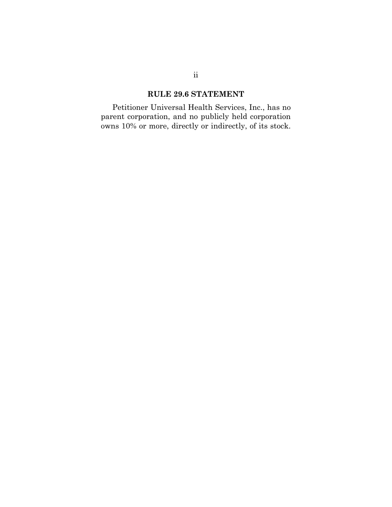### **RULE 29.6 STATEMENT**

Petitioner Universal Health Services, Inc., has no parent corporation, and no publicly held corporation owns 10% or more, directly or indirectly, of its stock.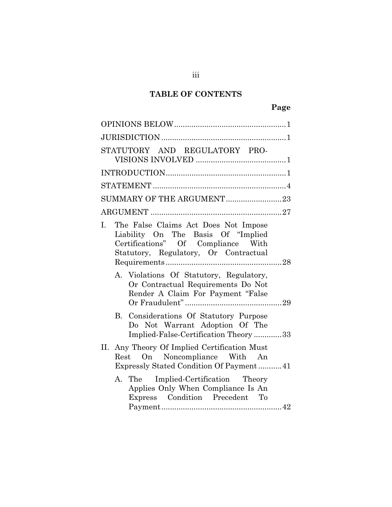# **TABLE OF CONTENTS**

| STATUTORY AND REGULATORY PRO-                                                                                                                                   |
|-----------------------------------------------------------------------------------------------------------------------------------------------------------------|
|                                                                                                                                                                 |
|                                                                                                                                                                 |
| SUMMARY OF THE ARGUMENT23                                                                                                                                       |
|                                                                                                                                                                 |
| The False Claims Act Does Not Impose<br>L.<br>Liability On The Basis Of "Implied<br>Certifications" Of Compliance With<br>Statutory, Regulatory, Or Contractual |
| A. Violations Of Statutory, Regulatory,<br>Or Contractual Requirements Do Not<br>Render A Claim For Payment "False                                              |
| B. Considerations Of Statutory Purpose<br>Do Not Warrant Adoption Of The<br>Implied-False-Certification Theory33                                                |
| II. Any Theory Of Implied Certification Must<br>Rest On Noncompliance With An<br>Expressly Stated Condition Of Payment 41                                       |
| A. The Implied-Certification Theory<br>Applies Only When Compliance Is An<br>Express Condition Precedent To                                                     |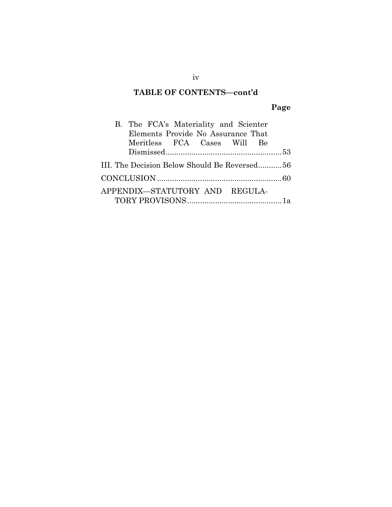### **TABLE OF CONTENTS—cont'd**

# **Page**

| B. The FCA's Materiality and Scienter        |  |
|----------------------------------------------|--|
| Elements Provide No Assurance That           |  |
| Meritless FCA Cases Will Be                  |  |
|                                              |  |
| III. The Decision Below Should Be Reversed56 |  |
|                                              |  |
| APPENDIX-STATUTORY AND REGULA-               |  |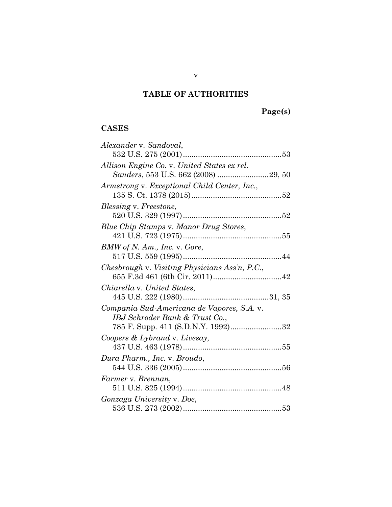# **TABLE OF AUTHORITIES**

# **CASES**

| Alexander v. Sandoval,                         |
|------------------------------------------------|
|                                                |
| Allison Engine Co. v. United States ex rel.    |
| Sanders, 553 U.S. 662 (2008) 29, 50            |
| Armstrong v. Exceptional Child Center, Inc.,   |
|                                                |
| <i>Blessing v. Freestone,</i>                  |
|                                                |
| Blue Chip Stamps v. Manor Drug Stores,         |
|                                                |
| BMW of N. Am., Inc. v. Gore,                   |
|                                                |
| Chesbrough v. Visiting Physicians Ass'n, P.C., |
|                                                |
| Chiarella v. United States,                    |
|                                                |
| Compania Sud-Americana de Vapores, S.A. v.     |
| IBJ Schroder Bank & Trust Co.,                 |
| 785 F. Supp. 411 (S.D.N.Y. 1992)32             |
| Coopers & Lybrand v. Livesay,                  |
|                                                |
| Dura Pharm., Inc. v. Broudo,                   |
|                                                |
| Farmer v. Brennan,                             |
|                                                |
| Gonzaga University v. Doe,                     |
|                                                |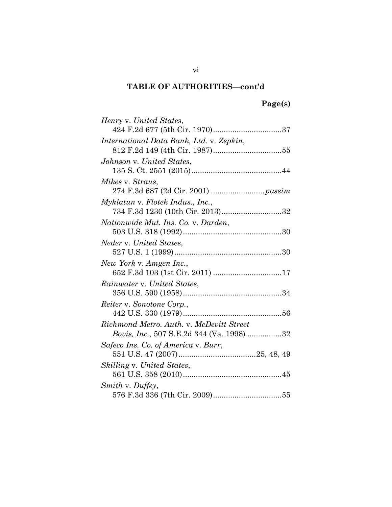| Henry v. United States,                   |
|-------------------------------------------|
| 424 F.2d 677 (5th Cir. 1970)37            |
| International Data Bank, Ltd. v. Zepkin,  |
|                                           |
| Johnson v. United States,                 |
|                                           |
| Mikes v. Straus,                          |
|                                           |
| Myklatun v. Flotek Indus., Inc.,          |
| 734 F.3d 1230 (10th Cir. 2013)32          |
| Nationwide Mut. Ins. Co. v. Darden,       |
|                                           |
| Neder v. United States,                   |
|                                           |
| New York v. Amgen Inc.,                   |
|                                           |
| Rainwater v. United States,               |
|                                           |
| Reiter v. Sonotone Corp.,                 |
|                                           |
| Richmond Metro. Auth. v. McDevitt Street  |
| Bovis, Inc., 507 S.E.2d 344 (Va. 1998) 32 |
| Safeco Ins. Co. of America v. Burr,       |
|                                           |
| <i>Skilling v. United States,</i>         |
|                                           |
| Smith v. Duffey,                          |
|                                           |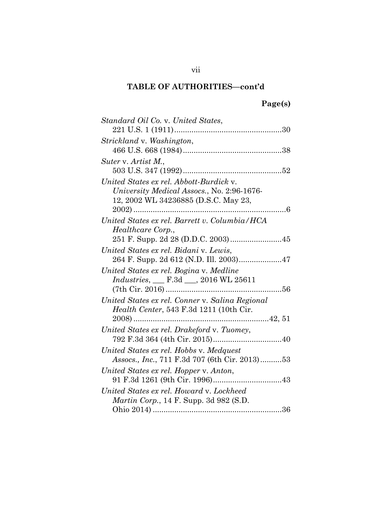| Standard Oil Co. v. United States,                 |
|----------------------------------------------------|
|                                                    |
| Strickland v. Washington,                          |
|                                                    |
| Suter v. Artist M.,                                |
|                                                    |
| United States ex rel. Abbott-Burdick v.            |
| University Medical Assocs., No. 2:96-1676-         |
| 12, 2002 WL 34236885 (D.S.C. May 23,               |
|                                                    |
| United States ex rel. Barrett v. Columbia/HCA      |
| Healthcare Corp.,                                  |
|                                                    |
| United States ex rel. Bidani v. Lewis,             |
|                                                    |
| United States ex rel. Bogina v. Medline            |
| <i>Industries</i> , <u>F.3d __</u> , 2016 WL 25611 |
|                                                    |
| United States ex rel. Conner v. Salina Regional    |
| Health Center, 543 F.3d 1211 (10th Cir.            |
|                                                    |
| United States ex rel. Drakeford v. Tuomey,         |
|                                                    |
| United States ex rel. Hobbs v. Medquest            |
| Assocs., Inc., 711 F.3d 707 (6th Cir. 2013)53      |
| United States ex rel. Hopper v. Anton,             |
|                                                    |
| United States ex rel. Howard v. Lockheed           |
| <i>Martin Corp.</i> , 14 F. Supp. 3d 982 (S.D.     |
|                                                    |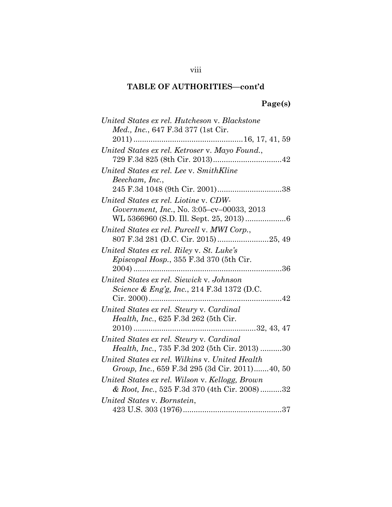# **Page(s)**

| United States ex rel. Hutcheson v. Blackstone   |
|-------------------------------------------------|
| Med., Inc., 647 F.3d 377 (1st Cir.              |
|                                                 |
| United States ex rel. Ketroser v. Mayo Found.,  |
|                                                 |
| United States ex rel. Lee v. SmithKline         |
| Beecham, Inc.,                                  |
|                                                 |
| United States ex rel. Liotine v. CDW-           |
| Government, Inc., No. 3:05–cv–00033, 2013       |
|                                                 |
| United States ex rel. Purcell v. MWI Corp.,     |
|                                                 |
| United States ex rel. Riley v. St. Luke's       |
| <i>Episcopal Hosp.</i> , 355 F.3d 370 (5th Cir. |
|                                                 |
| United States ex rel. Siewick v. Johnson        |
| Science & Eng'g, Inc., 214 F.3d 1372 (D.C.      |
|                                                 |
| United States ex rel. Steury v. Cardinal        |
| <i>Health, Inc.</i> , 625 F.3d 262 (5th Cir.    |
|                                                 |
| United States ex rel. Steury v. Cardinal        |
| Health, Inc., 735 F.3d 202 (5th Cir. 2013) 30   |
| United States ex rel. Wilkins v. United Health  |
| Group, Inc., 659 F.3d 295 (3d Cir. 2011)40, 50  |
| United States ex rel. Wilson v. Kellogg, Brown  |
| & Root, Inc., 525 F.3d 370 (4th Cir. 2008)32    |
| United States v. Bornstein,                     |
|                                                 |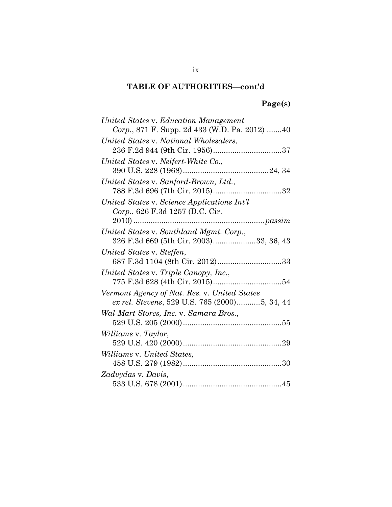# **Page(s)**

| United States v. Education Management         |
|-----------------------------------------------|
| Corp., 871 F. Supp. 2d 433 (W.D. Pa. 2012) 40 |
| United States v. National Wholesalers,        |
|                                               |
| United States v. Neifert-White Co.,           |
|                                               |
| United States v. Sanford-Brown, Ltd.,         |
|                                               |
| United States v. Science Applications Int'l   |
| Corp., 626 F.3d 1257 (D.C. Cir.               |
|                                               |
| United States v. Southland Mgmt. Corp.,       |
| 326 F.3d 669 (5th Cir. 2003)33, 36, 43        |
| United States v. Steffen,                     |
|                                               |
| United States v. Triple Canopy, Inc.,         |
|                                               |
| Vermont Agency of Nat. Res. v. United States  |
| ex rel. Stevens, 529 U.S. 765 (2000)5, 34, 44 |
| Wal-Mart Stores, Inc. v. Samara Bros.,        |
|                                               |
| Williams v. Taylor,                           |
|                                               |
| <i>Williams v. United States,</i>             |
|                                               |
| Zadvydas v. Davis,                            |
|                                               |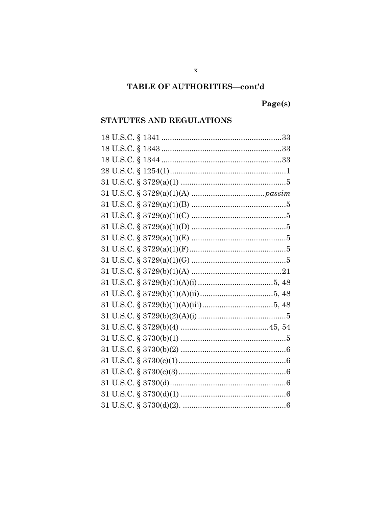# Page(s)

### STATUTES AND REGULATIONS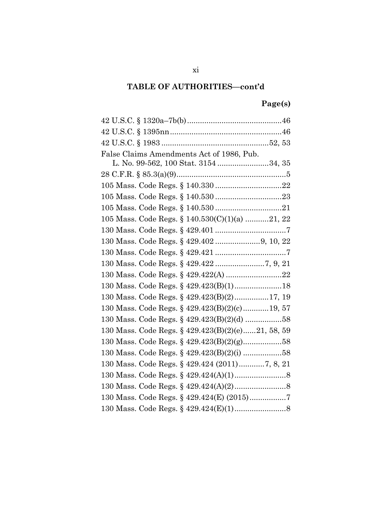# **Page(s)**

| False Claims Amendments Act of 1986, Pub.         |
|---------------------------------------------------|
| L. No. 99-562, 100 Stat. 3154 34, 35              |
|                                                   |
|                                                   |
|                                                   |
|                                                   |
| 105 Mass. Code Regs. § 140.530(C)(1)(a) 21, 22    |
|                                                   |
|                                                   |
|                                                   |
|                                                   |
|                                                   |
|                                                   |
| 130 Mass. Code Regs. § 429.423(B)(2)17, 19        |
| 130 Mass. Code Regs. § 429.423(B)(2)(c)19, 57     |
|                                                   |
| 130 Mass. Code Regs. § 429.423(B)(2)(e)21, 58, 59 |
|                                                   |
| 130 Mass. Code Regs. § 429.423(B)(2)(i) 58        |
| 130 Mass. Code Regs. § 429.424 (2011)7, 8, 21     |
|                                                   |
|                                                   |
| 130 Mass. Code Regs. § 429.424(E) (2015)7         |
|                                                   |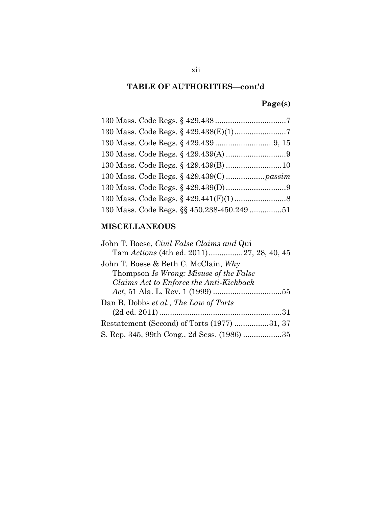# **Page(s)**

| 130 Mass. Code Regs. §§ 450.238-450.249 51 |  |
|--------------------------------------------|--|

# **MISCELLANEOUS**

| John T. Boese, Civil False Claims and Qui   |
|---------------------------------------------|
|                                             |
| John T. Boese & Beth C. McClain, $Why$      |
| Thompson Is Wrong: Misuse of the False      |
| Claims Act to Enforce the Anti-Kickback     |
|                                             |
| Dan B. Dobbs et al., The Law of Torts       |
|                                             |
| Restatement (Second) of Torts (1977) 31, 37 |
| S. Rep. 345, 99th Cong., 2d Sess. (1986) 35 |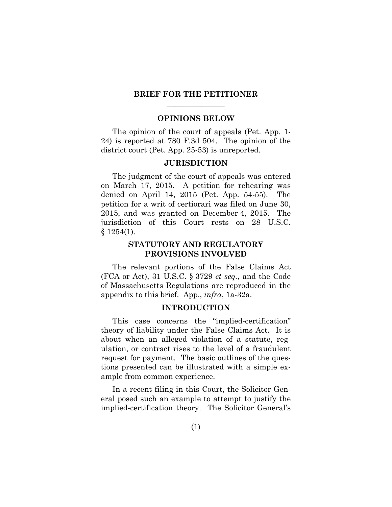#### **BRIEF FOR THE PETITIONER**   $\overline{\phantom{a}}$  , where  $\overline{\phantom{a}}$

#### **OPINIONS BELOW**

The opinion of the court of appeals (Pet. App. 1- 24) is reported at 780 F.3d 504. The opinion of the district court (Pet. App. 25-53) is unreported.

#### **JURISDICTION**

The judgment of the court of appeals was entered on March 17, 2015. A petition for rehearing was denied on April 14, 2015 (Pet. App. 54-55). The petition for a writ of certiorari was filed on June 30, 2015, and was granted on December 4, 2015. The jurisdiction of this Court rests on 28 U.S.C. § 1254(1).

### **STATUTORY AND REGULATORY PROVISIONS INVOLVED**

The relevant portions of the False Claims Act (FCA or Act), 31 U.S.C. § 3729 *et seq.*, and the Code of Massachusetts Regulations are reproduced in the appendix to this brief. App., *infra*, 1a-32a.

#### **INTRODUCTION**

This case concerns the "implied-certification" theory of liability under the False Claims Act. It is about when an alleged violation of a statute, regulation, or contract rises to the level of a fraudulent request for payment. The basic outlines of the questions presented can be illustrated with a simple example from common experience.

In a recent filing in this Court, the Solicitor General posed such an example to attempt to justify the implied-certification theory. The Solicitor General's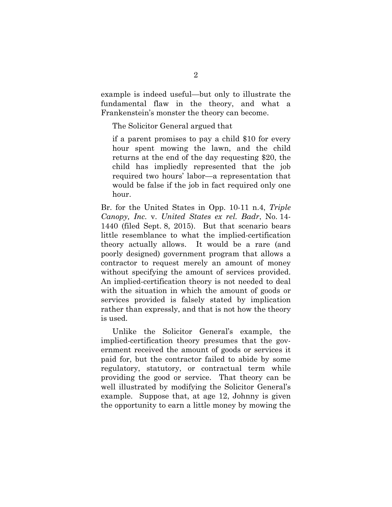example is indeed useful—but only to illustrate the fundamental flaw in the theory, and what a Frankenstein's monster the theory can become.

The Solicitor General argued that

if a parent promises to pay a child \$10 for every hour spent mowing the lawn, and the child returns at the end of the day requesting \$20, the child has impliedly represented that the job required two hours' labor—a representation that would be false if the job in fact required only one hour.

Br. for the United States in Opp. 10-11 n.4, *Triple Canopy, Inc.* v. *United States ex rel. Badr*, No. 14- 1440 (filed Sept. 8, 2015). But that scenario bears little resemblance to what the implied-certification theory actually allows. It would be a rare (and poorly designed) government program that allows a contractor to request merely an amount of money without specifying the amount of services provided. An implied-certification theory is not needed to deal with the situation in which the amount of goods or services provided is falsely stated by implication rather than expressly, and that is not how the theory is used.

Unlike the Solicitor General's example, the implied-certification theory presumes that the government received the amount of goods or services it paid for, but the contractor failed to abide by some regulatory, statutory, or contractual term while providing the good or service. That theory can be well illustrated by modifying the Solicitor General's example. Suppose that, at age 12, Johnny is given the opportunity to earn a little money by mowing the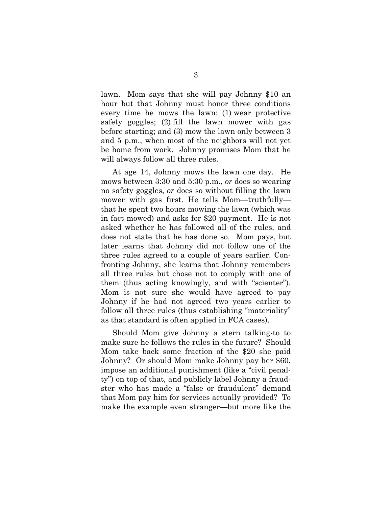lawn. Mom says that she will pay Johnny \$10 an hour but that Johnny must honor three conditions every time he mows the lawn: (1) wear protective safety goggles; (2) fill the lawn mower with gas before starting; and (3) mow the lawn only between 3 and 5 p.m., when most of the neighbors will not yet be home from work. Johnny promises Mom that he will always follow all three rules.

At age 14, Johnny mows the lawn one day. He mows between 3:30 and 5:30 p.m., *or* does so wearing no safety goggles, *or* does so without filling the lawn mower with gas first. He tells Mom—truthfully that he spent two hours mowing the lawn (which was in fact mowed) and asks for \$20 payment. He is not asked whether he has followed all of the rules, and does not state that he has done so. Mom pays, but later learns that Johnny did not follow one of the three rules agreed to a couple of years earlier. Confronting Johnny, she learns that Johnny remembers all three rules but chose not to comply with one of them (thus acting knowingly, and with "scienter"). Mom is not sure she would have agreed to pay Johnny if he had not agreed two years earlier to follow all three rules (thus establishing "materiality" as that standard is often applied in FCA cases).

Should Mom give Johnny a stern talking-to to make sure he follows the rules in the future? Should Mom take back some fraction of the \$20 she paid Johnny? Or should Mom make Johnny pay her \$60, impose an additional punishment (like a "civil penalty") on top of that, and publicly label Johnny a fraudster who has made a "false or fraudulent" demand that Mom pay him for services actually provided? To make the example even stranger—but more like the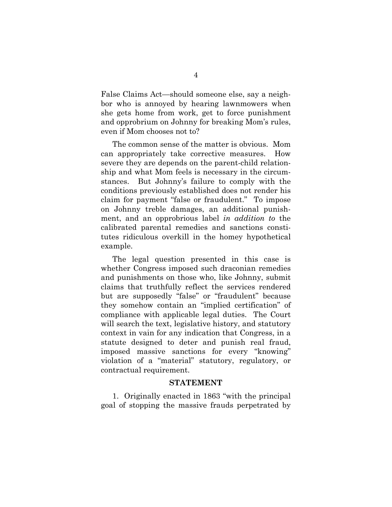False Claims Act—should someone else, say a neighbor who is annoyed by hearing lawnmowers when she gets home from work, get to force punishment and opprobrium on Johnny for breaking Mom's rules, even if Mom chooses not to?

The common sense of the matter is obvious. Mom can appropriately take corrective measures. How severe they are depends on the parent-child relationship and what Mom feels is necessary in the circumstances. But Johnny's failure to comply with the conditions previously established does not render his claim for payment "false or fraudulent." To impose on Johnny treble damages, an additional punishment, and an opprobrious label *in addition to* the calibrated parental remedies and sanctions constitutes ridiculous overkill in the homey hypothetical example.

The legal question presented in this case is whether Congress imposed such draconian remedies and punishments on those who, like Johnny, submit claims that truthfully reflect the services rendered but are supposedly "false" or "fraudulent" because they somehow contain an "implied certification" of compliance with applicable legal duties. The Court will search the text, legislative history, and statutory context in vain for any indication that Congress, in a statute designed to deter and punish real fraud, imposed massive sanctions for every "knowing" violation of a "material" statutory, regulatory, or contractual requirement.

#### **STATEMENT**

1. Originally enacted in 1863 "with the principal goal of stopping the massive frauds perpetrated by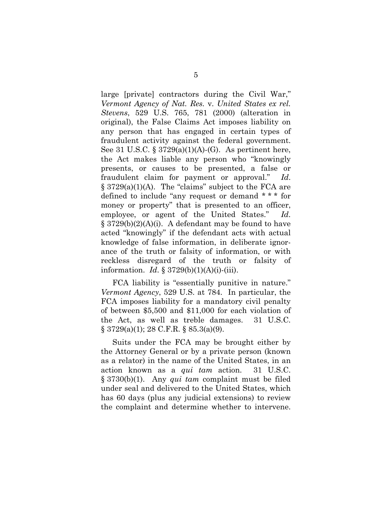large [private] contractors during the Civil War," *Vermont Agency of Nat. Res.* v. *United States ex rel. Stevens*, 529 U.S. 765, 781 (2000) (alteration in original), the False Claims Act imposes liability on any person that has engaged in certain types of fraudulent activity against the federal government. See 31 U.S.C.  $\S 3729(a)(1)(A)-(G)$ . As pertinent here, the Act makes liable any person who "knowingly presents, or causes to be presented, a false or fraudulent claim for payment or approval." *Id*.  $\S$  3729(a)(1)(A). The "claims" subject to the FCA are defined to include "any request or demand \* \* \* for money or property" that is presented to an officer, employee, or agent of the United States." *Id*.  $\S$  3729(b)(2)(A)(i). A defendant may be found to have acted "knowingly" if the defendant acts with actual knowledge of false information, in deliberate ignorance of the truth or falsity of information, or with reckless disregard of the truth or falsity of information. *Id*. § 3729(b)(1)(A)(i)-(iii).

FCA liability is "essentially punitive in nature." *Vermont Agency*, 529 U.S. at 784. In particular, the FCA imposes liability for a mandatory civil penalty of between \$5,500 and \$11,000 for each violation of the Act, as well as treble damages. 31 U.S.C.  $\S 3729(a)(1)$ ; 28 C.F.R.  $\S 85.3(a)(9)$ .

Suits under the FCA may be brought either by the Attorney General or by a private person (known as a relator) in the name of the United States, in an action known as a *qui tam* action. 31 U.S.C. § 3730(b)(1). Any *qui tam* complaint must be filed under seal and delivered to the United States, which has 60 days (plus any judicial extensions) to review the complaint and determine whether to intervene.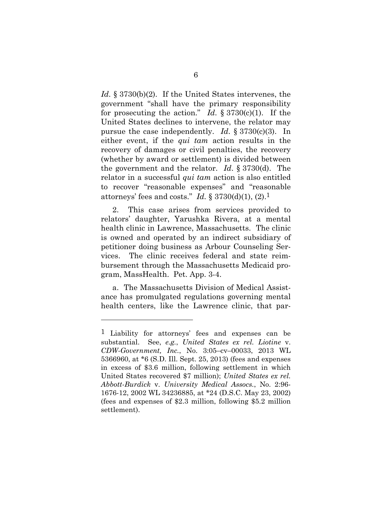*Id.* § 3730(b)(2). If the United States intervenes, the government "shall have the primary responsibility for prosecuting the action." *Id*. § 3730(c)(1). If the United States declines to intervene, the relator may pursue the case independently. *Id*. § 3730(c)(3). In either event, if the *qui tam* action results in the recovery of damages or civil penalties, the recovery (whether by award or settlement) is divided between the government and the relator. *Id*. § 3730(d). The relator in a successful *qui tam* action is also entitled to recover "reasonable expenses" and "reasonable attorneys' fees and costs." *Id.*  $\S 3730(d)(1)$ ,  $(2)$ .<sup>1</sup>

2. This case arises from services provided to relators' daughter, Yarushka Rivera, at a mental health clinic in Lawrence, Massachusetts. The clinic is owned and operated by an indirect subsidiary of petitioner doing business as Arbour Counseling Services. The clinic receives federal and state reimbursement through the Massachusetts Medicaid program, MassHealth. Pet. App. 3-4.

a. The Massachusetts Division of Medical Assistance has promulgated regulations governing mental health centers, like the Lawrence clinic, that par-

<sup>1</sup> Liability for attorneys' fees and expenses can be substantial. See, *e.g.*, *United States ex rel. Liotine* v. *CDW-Government, Inc.*, No. 3:05–cv–00033, 2013 WL 5366960, at \*6 (S.D. Ill. Sept. 25, 2013) (fees and expenses in excess of \$3.6 million, following settlement in which United States recovered \$7 million); *United States ex rel. Abbott-Burdick* v. *University Medical Assocs.*, No. 2:96- 1676-12, 2002 WL 34236885, at \*24 (D.S.C. May 23, 2002) (fees and expenses of \$2.3 million, following \$5.2 million settlement).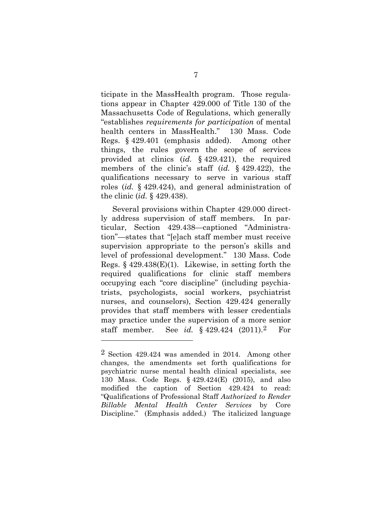ticipate in the MassHealth program. Those regulations appear in Chapter 429.000 of Title 130 of the Massachusetts Code of Regulations, which generally "establishes *requirements for participation* of mental health centers in MassHealth." 130 Mass. Code Regs. § 429.401 (emphasis added). Among other things, the rules govern the scope of services provided at clinics (*id.* § 429.421), the required members of the clinic's staff (*id.* § 429.422), the qualifications necessary to serve in various staff roles (*id.* § 429.424), and general administration of the clinic (*id.* § 429.438).

Several provisions within Chapter 429.000 directly address supervision of staff members. In particular, Section 429.438—captioned "Administration"—states that "[e]ach staff member must receive supervision appropriate to the person's skills and level of professional development." 130 Mass. Code Regs. § 429.438(E)(1). Likewise, in setting forth the required qualifications for clinic staff members occupying each "core discipline" (including psychiatrists, psychologists, social workers, psychiatrist nurses, and counselors), Section 429.424 generally provides that staff members with lesser credentials may practice under the supervision of a more senior staff member. See *id.* § 429.424 (2011).2 For

<sup>2</sup> Section 429.424 was amended in 2014. Among other changes, the amendments set forth qualifications for psychiatric nurse mental health clinical specialists, see 130 Mass. Code Regs. § 429.424(E) (2015), and also modified the caption of Section 429.424 to read: "Qualifications of Professional Staff *Authorized to Render Billable Mental Health Center Services* by Core Discipline." (Emphasis added.) The italicized language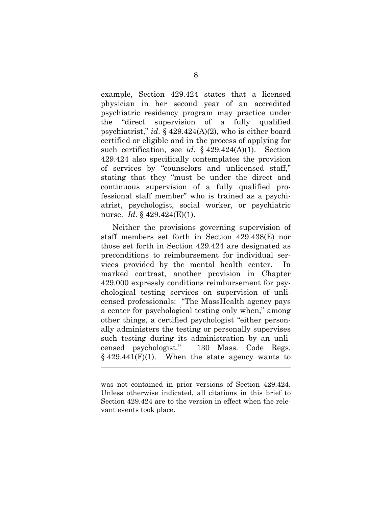example, Section 429.424 states that a licensed physician in her second year of an accredited psychiatric residency program may practice under the "direct supervision of a fully qualified psychiatrist," *id*. § 429.424(A)(2), who is either board certified or eligible and in the process of applying for such certification, see *id*. § 429.424(A)(1). Section 429.424 also specifically contemplates the provision of services by "counselors and unlicensed staff," stating that they "must be under the direct and continuous supervision of a fully qualified professional staff member" who is trained as a psychiatrist, psychologist, social worker, or psychiatric nurse. *Id*. § 429.424(E)(1).

Neither the provisions governing supervision of staff members set forth in Section 429.438(E) nor those set forth in Section 429.424 are designated as preconditions to reimbursement for individual services provided by the mental health center. In marked contrast, another provision in Chapter 429.000 expressly conditions reimbursement for psychological testing services on supervision of unlicensed professionals: "The MassHealth agency pays a center for psychological testing only when," among other things, a certified psychologist "either personally administers the testing or personally supervises such testing during its administration by an unlicensed psychologist." 130 Mass. Code Regs.  $§$  429.441(F)(1). When the state agency wants to

was not contained in prior versions of Section 429.424. Unless otherwise indicated, all citations in this brief to Section 429.424 are to the version in effect when the relevant events took place.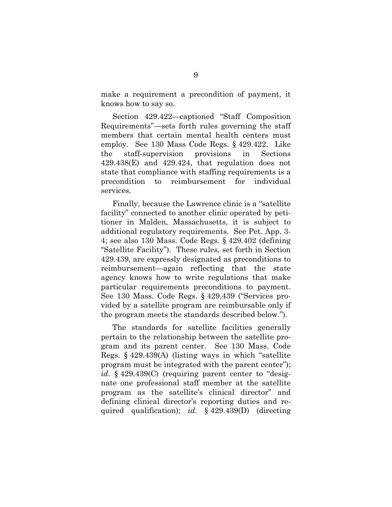make a requirement a precondition of payment, it knows how to say so.

Section 429.422—captioned "Staff Composition Requirements"—sets forth rules governing the staff members that certain mental health centers must employ. See 130 Mass Code Regs. § 429.422. Like the staff-supervision provisions in Sections 429.438(E) and 429.424, that regulation does not state that compliance with staffing requirements is a precondition to reimbursement for individual services.

Finally, because the Lawrence clinic is a "satellite facility" connected to another clinic operated by petitioner in Malden, Massachusetts, it is subject to additional regulatory requirements. See Pet. App. 3- 4; see also 130 Mass. Code Regs. § 429.402 (defining "Satellite Facility"). These rules, set forth in Section 429.439, are expressly designated as preconditions to reimbursement—again reflecting that the state agency knows how to write regulations that make particular requirements preconditions to payment. See 130 Mass. Code Regs. § 429.439 ("Services provided by a satellite program are reimbursable only if the program meets the standards described below.").

The standards for satellite facilities generally pertain to the relationship between the satellite program and its parent center. See 130 Mass. Code Regs. § 429.439(A) (listing ways in which "satellite program must be integrated with the parent center"); id. § 429.439(C) (requiring parent center to "designate one professional staff member at the satellite program as the satellite's clinical director" and defining clinical director's reporting duties and required qualification); *id.* § 429.439(D) (directing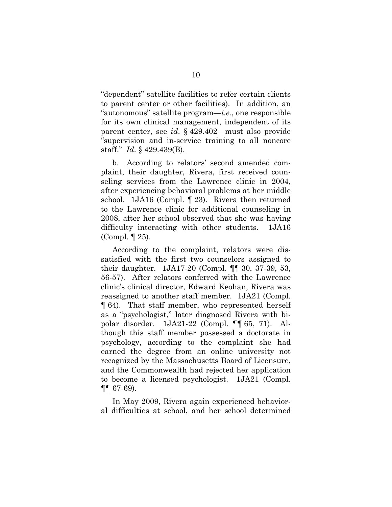"dependent" satellite facilities to refer certain clients to parent center or other facilities). In addition, an "autonomous" satellite program—*i.e.*, one responsible for its own clinical management, independent of its parent center, see *id*. § 429.402—must also provide "supervision and in-service training to all noncore staff." *Id*. § 429.439(B).

b. According to relators' second amended complaint, their daughter, Rivera, first received counseling services from the Lawrence clinic in 2004, after experiencing behavioral problems at her middle school. 1JA16 (Compl. ¶ 23). Rivera then returned to the Lawrence clinic for additional counseling in 2008, after her school observed that she was having difficulty interacting with other students. 1JA16 (Compl. ¶ 25).

According to the complaint, relators were dissatisfied with the first two counselors assigned to their daughter. 1JA17-20 (Compl. ¶¶ 30, 37-39, 53, 56-57). After relators conferred with the Lawrence clinic's clinical director, Edward Keohan, Rivera was reassigned to another staff member. 1JA21 (Compl. ¶ 64). That staff member, who represented herself as a "psychologist," later diagnosed Rivera with bipolar disorder. 1JA21-22 (Compl. ¶¶ 65, 71). Although this staff member possessed a doctorate in psychology, according to the complaint she had earned the degree from an online university not recognized by the Massachusetts Board of Licensure, and the Commonwealth had rejected her application to become a licensed psychologist. 1JA21 (Compl. ¶¶ 67-69).

In May 2009, Rivera again experienced behavioral difficulties at school, and her school determined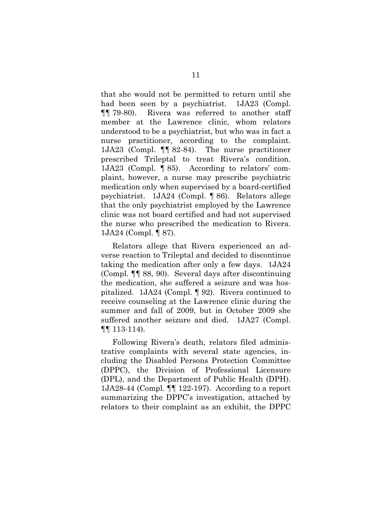that she would not be permitted to return until she had been seen by a psychiatrist. 1JA23 (Compl. ¶¶ 79-80). Rivera was referred to another staff member at the Lawrence clinic, whom relators understood to be a psychiatrist, but who was in fact a nurse practitioner, according to the complaint. 1JA23 (Compl. ¶¶ 82-84). The nurse practitioner prescribed Trileptal to treat Rivera's condition. 1JA23 (Compl. ¶ 85). According to relators' complaint, however, a nurse may prescribe psychiatric medication only when supervised by a board-certified psychiatrist. 1JA24 (Compl. ¶ 86). Relators allege that the only psychiatrist employed by the Lawrence clinic was not board certified and had not supervised the nurse who prescribed the medication to Rivera. 1JA24 (Compl. ¶ 87).

Relators allege that Rivera experienced an adverse reaction to Trileptal and decided to discontinue taking the medication after only a few days. 1JA24 (Compl. ¶¶ 88, 90). Several days after discontinuing the medication, she suffered a seizure and was hospitalized. 1JA24 (Compl. ¶ 92). Rivera continued to receive counseling at the Lawrence clinic during the summer and fall of 2009, but in October 2009 she suffered another seizure and died. 1JA27 (Compl. ¶¶ 113-114).

Following Rivera's death, relators filed administrative complaints with several state agencies, including the Disabled Persons Protection Committee (DPPC), the Division of Professional Licensure (DPL), and the Department of Public Health (DPH). 1JA28-44 (Compl. ¶¶ 122-197). According to a report summarizing the DPPC's investigation, attached by relators to their complaint as an exhibit, the DPPC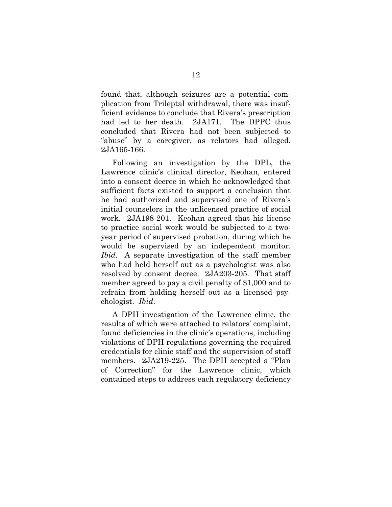found that, although seizures are a potential complication from Trileptal withdrawal, there was insufficient evidence to conclude that Rivera's prescription had led to her death. 2JA171. The DPPC thus concluded that Rivera had not been subjected to "abuse" by a caregiver, as relators had alleged. 2JA165-166.

Following an investigation by the DPL, the Lawrence clinic's clinical director, Keohan, entered into a consent decree in which he acknowledged that sufficient facts existed to support a conclusion that he had authorized and supervised one of Rivera's initial counselors in the unlicensed practice of social work. 2JA198-201. Keohan agreed that his license to practice social work would be subjected to a twoyear period of supervised probation, during which he would be supervised by an independent monitor. *Ibid*.A separate investigation of the staff member who had held herself out as a psychologist was also resolved by consent decree. 2JA203-205. That staff member agreed to pay a civil penalty of \$1,000 and to refrain from holding herself out as a licensed psychologist. *Ibid*.

A DPH investigation of the Lawrence clinic, the results of which were attached to relators' complaint, found deficiencies in the clinic's operations, including violations of DPH regulations governing the required credentials for clinic staff and the supervision of staff members. 2JA219-225. The DPH accepted a "Plan of Correction" for the Lawrence clinic, which contained steps to address each regulatory deficiency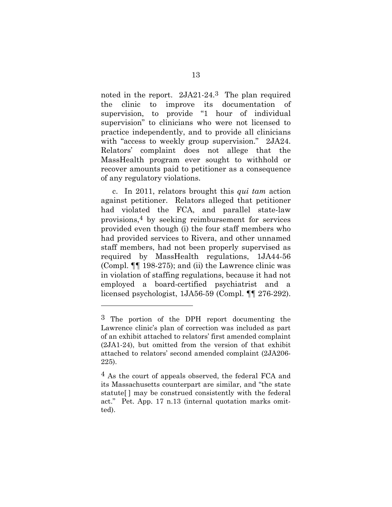noted in the report. 2JA21-24.3 The plan required the clinic to improve its documentation supervision, to provide "1 hour of individual supervision" to clinicians who were not licensed to practice independently, and to provide all clinicians with "access to weekly group supervision." 2JA24. Relators' complaint does not allege that the MassHealth program ever sought to withhold or recover amounts paid to petitioner as a consequence of any regulatory violations.

c. In 2011, relators brought this *qui tam* action against petitioner. Relators alleged that petitioner had violated the FCA, and parallel state-law provisions,4 by seeking reimbursement for services provided even though (i) the four staff members who had provided services to Rivera, and other unnamed staff members, had not been properly supervised as required by MassHealth regulations, 1JA44-56 (Compl. ¶¶ 198-275); and (ii) the Lawrence clinic was in violation of staffing regulations, because it had not employed a board-certified psychiatrist and a licensed psychologist, 1JA56-59 (Compl. ¶¶ 276-292).

<sup>3</sup> The portion of the DPH report documenting the Lawrence clinic's plan of correction was included as part of an exhibit attached to relators' first amended complaint (2JA1-24), but omitted from the version of that exhibit attached to relators' second amended complaint (2JA206- 225).

<sup>4</sup> As the court of appeals observed, the federal FCA and its Massachusetts counterpart are similar, and "the state statute[ ] may be construed consistently with the federal act." Pet. App. 17 n.13 (internal quotation marks omitted).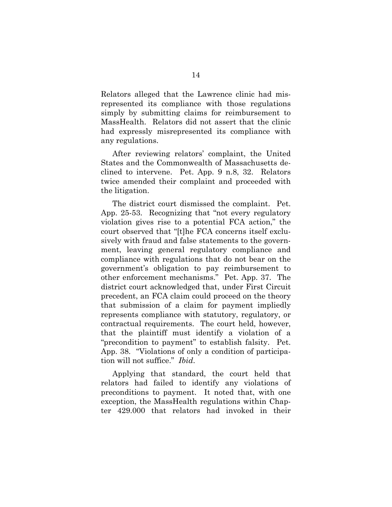Relators alleged that the Lawrence clinic had misrepresented its compliance with those regulations simply by submitting claims for reimbursement to MassHealth. Relators did not assert that the clinic had expressly misrepresented its compliance with any regulations.

After reviewing relators' complaint, the United States and the Commonwealth of Massachusetts declined to intervene. Pet. App. 9 n.8, 32. Relators twice amended their complaint and proceeded with the litigation.

The district court dismissed the complaint. Pet. App. 25-53. Recognizing that "not every regulatory violation gives rise to a potential FCA action," the court observed that "[t]he FCA concerns itself exclusively with fraud and false statements to the government, leaving general regulatory compliance and compliance with regulations that do not bear on the government's obligation to pay reimbursement to other enforcement mechanisms." Pet. App. 37. The district court acknowledged that, under First Circuit precedent, an FCA claim could proceed on the theory that submission of a claim for payment impliedly represents compliance with statutory, regulatory, or contractual requirements. The court held, however, that the plaintiff must identify a violation of a "precondition to payment" to establish falsity. Pet. App. 38. "Violations of only a condition of participation will not suffice." *Ibid*.

Applying that standard, the court held that relators had failed to identify any violations of preconditions to payment. It noted that, with one exception, the MassHealth regulations within Chapter 429.000 that relators had invoked in their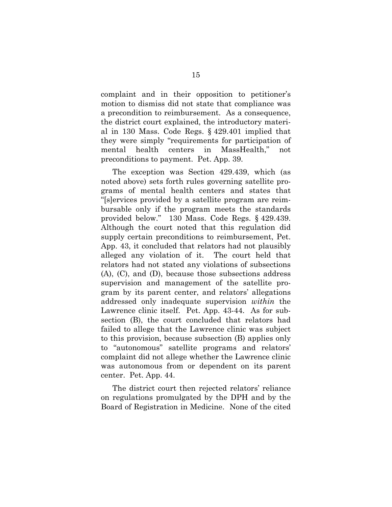complaint and in their opposition to petitioner's motion to dismiss did not state that compliance was a precondition to reimbursement. As a consequence, the district court explained, the introductory material in 130 Mass. Code Regs. § 429.401 implied that they were simply "requirements for participation of mental health centers in MassHealth," not preconditions to payment. Pet. App. 39.

The exception was Section 429.439, which (as noted above) sets forth rules governing satellite programs of mental health centers and states that "[s]ervices provided by a satellite program are reimbursable only if the program meets the standards provided below." 130 Mass. Code Regs. § 429.439. Although the court noted that this regulation did supply certain preconditions to reimbursement, Pet. App. 43, it concluded that relators had not plausibly alleged any violation of it. The court held that relators had not stated any violations of subsections (A), (C), and (D), because those subsections address supervision and management of the satellite program by its parent center, and relators' allegations addressed only inadequate supervision *within* the Lawrence clinic itself. Pet. App. 43-44. As for subsection (B), the court concluded that relators had failed to allege that the Lawrence clinic was subject to this provision, because subsection (B) applies only to "autonomous" satellite programs and relators' complaint did not allege whether the Lawrence clinic was autonomous from or dependent on its parent center. Pet. App. 44.

The district court then rejected relators' reliance on regulations promulgated by the DPH and by the Board of Registration in Medicine. None of the cited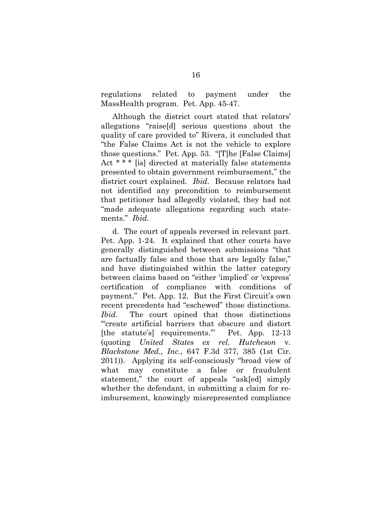regulations related to payment under the MassHealth program. Pet. App. 45-47.

Although the district court stated that relators' allegations "raise[d] serious questions about the quality of care provided to" Rivera, it concluded that "the False Claims Act is not the vehicle to explore those questions." Pet. App. 53. "[T]he [False Claims] Act \* \* \* [is] directed at materially false statements presented to obtain government reimbursement," the district court explained. *Ibid*.Because relators had not identified any precondition to reimbursement that petitioner had allegedly violated, they had not "made adequate allegations regarding such statements." *Ibid*.

d. The court of appeals reversed in relevant part. Pet. App. 1-24. It explained that other courts have generally distinguished between submissions "that are factually false and those that are legally false," and have distinguished within the latter category between claims based on "either 'implied' or 'express' certification of compliance with conditions of payment." Pet. App. 12. But the First Circuit's own recent precedents had "eschewed" those distinctions. *Ibid*.The court opined that those distinctions "'create artificial barriers that obscure and distort [the statute's] requirements.'" Pet. App. 12-13 (quoting *United States ex rel. Hutcheson* v. *Blackstone Med., Inc.*, 647 F.3d 377, 385 (1st Cir. 2011)). Applying its self-consciously "broad view of what may constitute a false or fraudulent statement," the court of appeals "ask[ed] simply whether the defendant, in submitting a claim for reimbursement, knowingly misrepresented compliance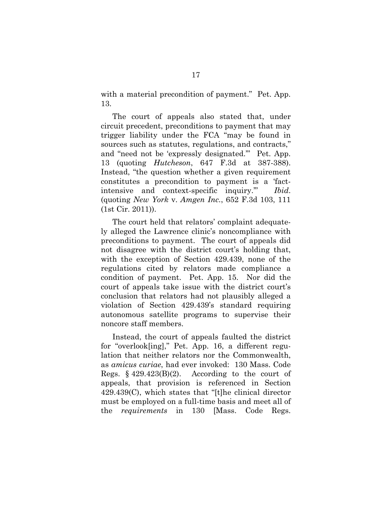with a material precondition of payment." Pet. App. 13.

The court of appeals also stated that, under circuit precedent, preconditions to payment that may trigger liability under the FCA "may be found in sources such as statutes, regulations, and contracts," and "need not be 'expressly designated.'" Pet. App. 13 (quoting *Hutcheson*, 647 F.3d at 387-388). Instead, "the question whether a given requirement constitutes a precondition to payment is a 'factintensive and context-specific inquiry.'" *Ibid*. (quoting *New York* v. *Amgen Inc.*, 652 F.3d 103, 111 (1st Cir. 2011)).

The court held that relators' complaint adequately alleged the Lawrence clinic's noncompliance with preconditions to payment. The court of appeals did not disagree with the district court's holding that, with the exception of Section 429.439, none of the regulations cited by relators made compliance a condition of payment. Pet. App. 15. Nor did the court of appeals take issue with the district court's conclusion that relators had not plausibly alleged a violation of Section 429.439's standard requiring autonomous satellite programs to supervise their noncore staff members.

Instead, the court of appeals faulted the district for "overlook[ing]," Pet. App. 16, a different regulation that neither relators nor the Commonwealth, as *amicus curiae*, had ever invoked: 130 Mass. Code Regs.  $$429.423(B)(2)$ . According to the court of appeals, that provision is referenced in Section 429.439(C), which states that "[t]he clinical director must be employed on a full-time basis and meet all of the *requirements* in 130 [Mass. Code Regs.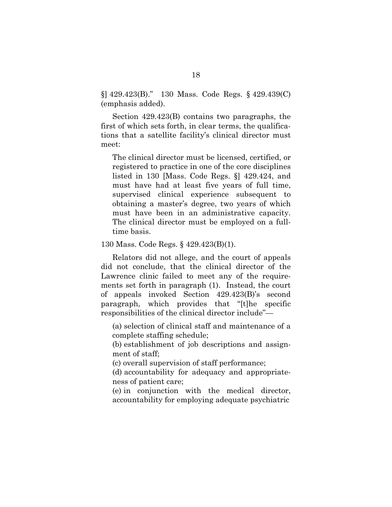§] 429.423(B)." 130 Mass. Code Regs. § 429.439(C) (emphasis added).

Section 429.423(B) contains two paragraphs, the first of which sets forth, in clear terms, the qualifications that a satellite facility's clinical director must meet:

The clinical director must be licensed, certified, or registered to practice in one of the core disciplines listed in 130 [Mass. Code Regs. §] 429.424, and must have had at least five years of full time, supervised clinical experience subsequent to obtaining a master's degree, two years of which must have been in an administrative capacity. The clinical director must be employed on a fulltime basis.

130 Mass. Code Regs. § 429.423(B)(1).

Relators did not allege, and the court of appeals did not conclude, that the clinical director of the Lawrence clinic failed to meet any of the requirements set forth in paragraph (1). Instead, the court of appeals invoked Section 429.423(B)'s second paragraph, which provides that "[t]he specific responsibilities of the clinical director include"—

(a) selection of clinical staff and maintenance of a complete staffing schedule;

(b) establishment of job descriptions and assignment of staff;

(c) overall supervision of staff performance;

(d) accountability for adequacy and appropriateness of patient care;

(e) in conjunction with the medical director, accountability for employing adequate psychiatric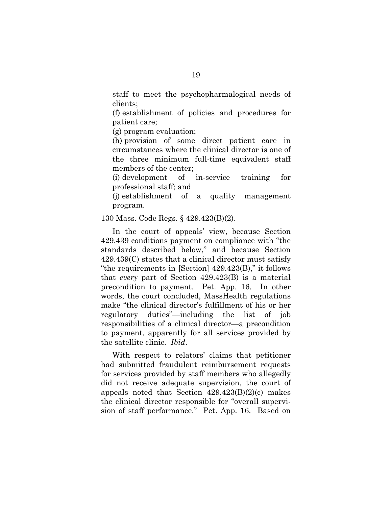staff to meet the psychopharmalogical needs of clients;

(f) establishment of policies and procedures for patient care;

(g) program evaluation;

(h) provision of some direct patient care in circumstances where the clinical director is one of the three minimum full-time equivalent staff members of the center;

(i) development of in-service training for professional staff; and

(j) establishment of a quality management program.

130 Mass. Code Regs. § 429.423(B)(2).

In the court of appeals' view, because Section 429.439 conditions payment on compliance with "the standards described below," and because Section 429.439(C) states that a clinical director must satisfy "the requirements in [Section] 429.423(B)," it follows that *every* part of Section 429.423(B) is a material precondition to payment. Pet. App. 16. In other words, the court concluded, MassHealth regulations make "the clinical director's fulfillment of his or her regulatory duties"—including the list of job responsibilities of a clinical director—a precondition to payment, apparently for all services provided by the satellite clinic. *Ibid*.

With respect to relators' claims that petitioner had submitted fraudulent reimbursement requests for services provided by staff members who allegedly did not receive adequate supervision, the court of appeals noted that Section 429.423(B)(2)(c) makes the clinical director responsible for "overall supervision of staff performance." Pet. App. 16. Based on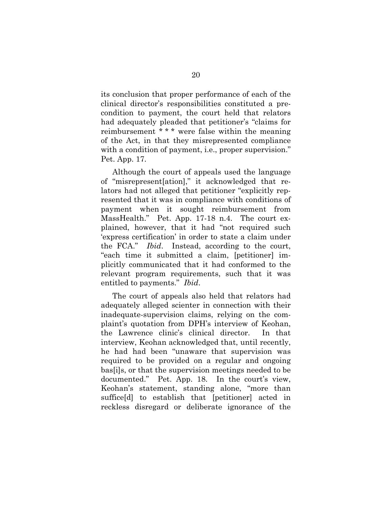its conclusion that proper performance of each of the clinical director's responsibilities constituted a precondition to payment, the court held that relators had adequately pleaded that petitioner's "claims for reimbursement \* \* \* were false within the meaning of the Act, in that they misrepresented compliance with a condition of payment, i.e., proper supervision." Pet. App. 17.

Although the court of appeals used the language of "misrepresent[ation]," it acknowledged that relators had not alleged that petitioner "explicitly represented that it was in compliance with conditions of payment when it sought reimbursement from MassHealth." Pet. App. 17-18 n.4. The court explained, however, that it had "not required such 'express certification' in order to state a claim under the FCA." *Ibid*. Instead, according to the court, "each time it submitted a claim, [petitioner] implicitly communicated that it had conformed to the relevant program requirements, such that it was entitled to payments." *Ibid*.

The court of appeals also held that relators had adequately alleged scienter in connection with their inadequate-supervision claims, relying on the complaint's quotation from DPH's interview of Keohan, the Lawrence clinic's clinical director. In that interview, Keohan acknowledged that, until recently, he had had been "unaware that supervision was required to be provided on a regular and ongoing bas[i]s, or that the supervision meetings needed to be documented." Pet. App. 18. In the court's view, Keohan's statement, standing alone, "more than suffice[d] to establish that [petitioner] acted in reckless disregard or deliberate ignorance of the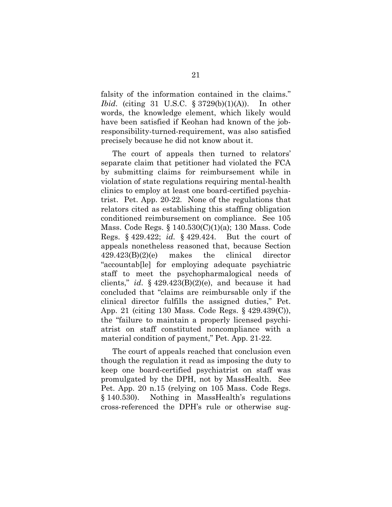falsity of the information contained in the claims." *Ibid*. (citing 31 U.S.C. § 3729(b)(1)(A)). In other words, the knowledge element, which likely would have been satisfied if Keohan had known of the jobresponsibility-turned-requirement, was also satisfied precisely because he did not know about it.

The court of appeals then turned to relators' separate claim that petitioner had violated the FCA by submitting claims for reimbursement while in violation of state regulations requiring mental-health clinics to employ at least one board-certified psychiatrist. Pet. App. 20-22. None of the regulations that relators cited as establishing this staffing obligation conditioned reimbursement on compliance. See 105 Mass. Code Regs. § 140.530(C)(1)(a); 130 Mass. Code Regs. § 429.422; *id.* § 429.424. But the court of appeals nonetheless reasoned that, because Section 429.423(B)(2)(e) makes the clinical director "accountab[le] for employing adequate psychiatric staff to meet the psychopharmalogical needs of clients," *id*. § 429.423(B)(2)(e), and because it had concluded that "claims are reimbursable only if the clinical director fulfills the assigned duties," Pet. App. 21 (citing 130 Mass. Code Regs. § 429.439(C)), the "failure to maintain a properly licensed psychiatrist on staff constituted noncompliance with a material condition of payment," Pet. App. 21-22.

The court of appeals reached that conclusion even though the regulation it read as imposing the duty to keep one board-certified psychiatrist on staff was promulgated by the DPH, not by MassHealth. See Pet. App. 20 n.15 (relying on 105 Mass. Code Regs. § 140.530). Nothing in MassHealth's regulations cross-referenced the DPH's rule or otherwise sug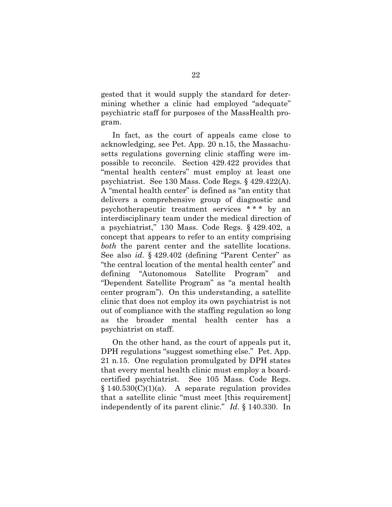gested that it would supply the standard for determining whether a clinic had employed "adequate" psychiatric staff for purposes of the MassHealth program.

In fact, as the court of appeals came close to acknowledging, see Pet. App. 20 n.15, the Massachusetts regulations governing clinic staffing were impossible to reconcile. Section 429.422 provides that "mental health centers" must employ at least one psychiatrist. See 130 Mass. Code Regs. § 429.422(A). A "mental health center" is defined as "an entity that delivers a comprehensive group of diagnostic and psychotherapeutic treatment services \* \* \* by an interdisciplinary team under the medical direction of a psychiatrist," 130 Mass. Code Regs. § 429.402, a concept that appears to refer to an entity comprising *both* the parent center and the satellite locations. See also *id*. § 429.402 (defining "Parent Center" as "the central location of the mental health center" and defining "Autonomous Satellite Program" and "Dependent Satellite Program" as "a mental health center program"). On this understanding, a satellite clinic that does not employ its own psychiatrist is not out of compliance with the staffing regulation so long as the broader mental health center has a psychiatrist on staff.

On the other hand, as the court of appeals put it, DPH regulations "suggest something else." Pet. App. 21 n.15. One regulation promulgated by DPH states that every mental health clinic must employ a boardcertified psychiatrist. See 105 Mass. Code Regs.  $§ 140.530(C)(1)(a)$ . A separate regulation provides that a satellite clinic "must meet [this requirement] independently of its parent clinic." *Id*. § 140.330. In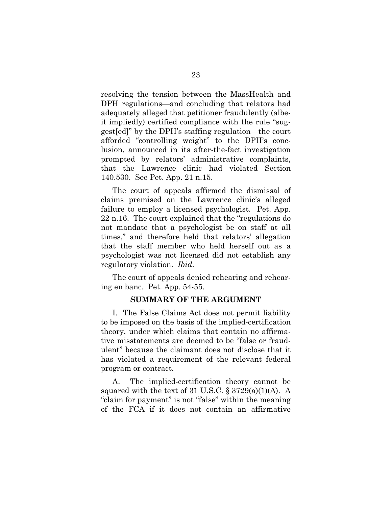resolving the tension between the MassHealth and DPH regulations—and concluding that relators had adequately alleged that petitioner fraudulently (albeit impliedly) certified compliance with the rule "suggest[ed]" by the DPH's staffing regulation—the court afforded "controlling weight" to the DPH's conclusion, announced in its after-the-fact investigation prompted by relators' administrative complaints, that the Lawrence clinic had violated Section 140.530. See Pet. App. 21 n.15.

The court of appeals affirmed the dismissal of claims premised on the Lawrence clinic's alleged failure to employ a licensed psychologist. Pet. App. 22 n.16. The court explained that the "regulations do not mandate that a psychologist be on staff at all times," and therefore held that relators' allegation that the staff member who held herself out as a psychologist was not licensed did not establish any regulatory violation. *Ibid*.

The court of appeals denied rehearing and rehearing en banc. Pet. App. 54-55.

#### **SUMMARY OF THE ARGUMENT**

I. The False Claims Act does not permit liability to be imposed on the basis of the implied-certification theory, under which claims that contain no affirmative misstatements are deemed to be "false or fraudulent" because the claimant does not disclose that it has violated a requirement of the relevant federal program or contract.

A. The implied-certification theory cannot be squared with the text of 31 U.S.C.  $\S 3729(a)(1)(A)$ . A "claim for payment" is not "false" within the meaning of the FCA if it does not contain an affirmative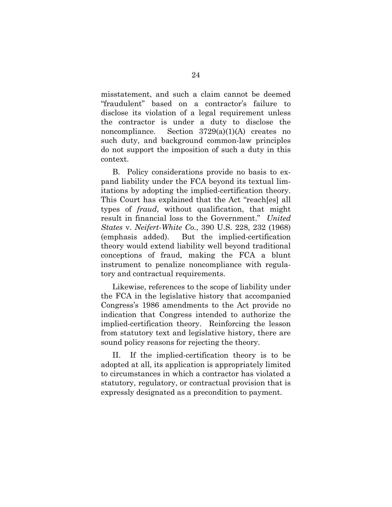misstatement, and such a claim cannot be deemed "fraudulent" based on a contractor's failure to disclose its violation of a legal requirement unless the contractor is under a duty to disclose the noncompliance. Section 3729(a)(1)(A) creates no such duty, and background common-law principles do not support the imposition of such a duty in this context.

B. Policy considerations provide no basis to expand liability under the FCA beyond its textual limitations by adopting the implied-certification theory. This Court has explained that the Act "reach[es] all types of *fraud*, without qualification, that might result in financial loss to the Government." *United States* v. *Neifert-White Co.*, 390 U.S. 228, 232 (1968) (emphasis added). But the implied-certification theory would extend liability well beyond traditional conceptions of fraud, making the FCA a blunt instrument to penalize noncompliance with regulatory and contractual requirements.

Likewise, references to the scope of liability under the FCA in the legislative history that accompanied Congress's 1986 amendments to the Act provide no indication that Congress intended to authorize the implied-certification theory. Reinforcing the lesson from statutory text and legislative history, there are sound policy reasons for rejecting the theory.

II. If the implied-certification theory is to be adopted at all, its application is appropriately limited to circumstances in which a contractor has violated a statutory, regulatory, or contractual provision that is expressly designated as a precondition to payment.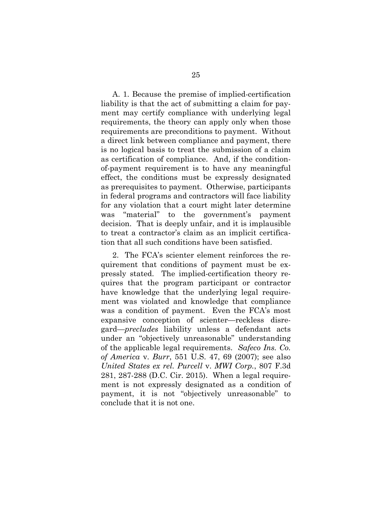A. 1. Because the premise of implied-certification liability is that the act of submitting a claim for payment may certify compliance with underlying legal requirements, the theory can apply only when those requirements are preconditions to payment. Without a direct link between compliance and payment, there is no logical basis to treat the submission of a claim as certification of compliance. And, if the conditionof-payment requirement is to have any meaningful effect, the conditions must be expressly designated as prerequisites to payment. Otherwise, participants in federal programs and contractors will face liability for any violation that a court might later determine was "material" to the government's payment decision. That is deeply unfair, and it is implausible to treat a contractor's claim as an implicit certification that all such conditions have been satisfied.

2. The FCA's scienter element reinforces the requirement that conditions of payment must be expressly stated. The implied-certification theory requires that the program participant or contractor have knowledge that the underlying legal requirement was violated and knowledge that compliance was a condition of payment. Even the FCA's most expansive conception of scienter—reckless disregard—*precludes* liability unless a defendant acts under an "objectively unreasonable" understanding of the applicable legal requirements. *Safeco Ins. Co. of America* v. *Burr*, 551 U.S. 47, 69 (2007); see also *United States ex rel. Purcell* v. *MWI Corp.*, 807 F.3d 281, 287-288 (D.C. Cir. 2015). When a legal requirement is not expressly designated as a condition of payment, it is not "objectively unreasonable" to conclude that it is not one.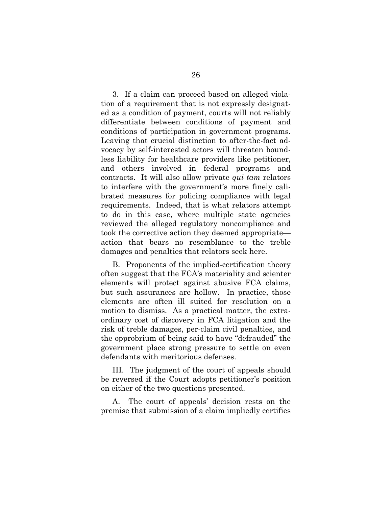3. If a claim can proceed based on alleged violation of a requirement that is not expressly designated as a condition of payment, courts will not reliably differentiate between conditions of payment and conditions of participation in government programs. Leaving that crucial distinction to after-the-fact advocacy by self-interested actors will threaten boundless liability for healthcare providers like petitioner, and others involved in federal programs and contracts. It will also allow private *qui tam* relators to interfere with the government's more finely calibrated measures for policing compliance with legal requirements. Indeed, that is what relators attempt to do in this case, where multiple state agencies reviewed the alleged regulatory noncompliance and took the corrective action they deemed appropriate action that bears no resemblance to the treble damages and penalties that relators seek here.

B. Proponents of the implied-certification theory often suggest that the FCA's materiality and scienter elements will protect against abusive FCA claims, but such assurances are hollow. In practice, those elements are often ill suited for resolution on a motion to dismiss. As a practical matter, the extraordinary cost of discovery in FCA litigation and the risk of treble damages, per-claim civil penalties, and the opprobrium of being said to have "defrauded" the government place strong pressure to settle on even defendants with meritorious defenses.

III. The judgment of the court of appeals should be reversed if the Court adopts petitioner's position on either of the two questions presented.

The court of appeals' decision rests on the premise that submission of a claim impliedly certifies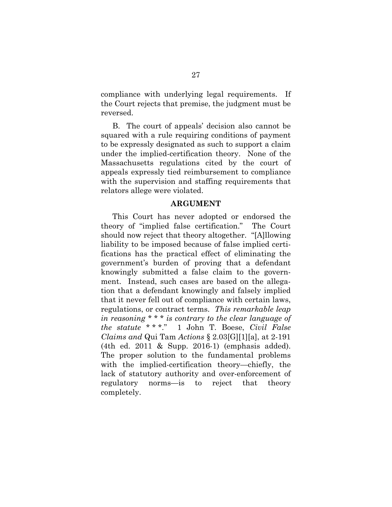compliance with underlying legal requirements. If the Court rejects that premise, the judgment must be reversed.

B. The court of appeals' decision also cannot be squared with a rule requiring conditions of payment to be expressly designated as such to support a claim under the implied-certification theory. None of the Massachusetts regulations cited by the court of appeals expressly tied reimbursement to compliance with the supervision and staffing requirements that relators allege were violated.

#### **ARGUMENT**

This Court has never adopted or endorsed the theory of "implied false certification." The Court should now reject that theory altogether. "[A]llowing liability to be imposed because of false implied certifications has the practical effect of eliminating the government's burden of proving that a defendant knowingly submitted a false claim to the government. Instead, such cases are based on the allegation that a defendant knowingly and falsely implied that it never fell out of compliance with certain laws, regulations, or contract terms. *This remarkable leap in reasoning \* \* \* is contrary to the clear language of the statute* \* \* \*." 1 John T. Boese, *Civil False Claims and* Qui Tam *Actions* § 2.03[G][1][a], at 2-191 (4th ed. 2011 & Supp. 2016-1) (emphasis added). The proper solution to the fundamental problems with the implied-certification theory—chiefly, the lack of statutory authority and over-enforcement of regulatory norms—is to reject that theory completely.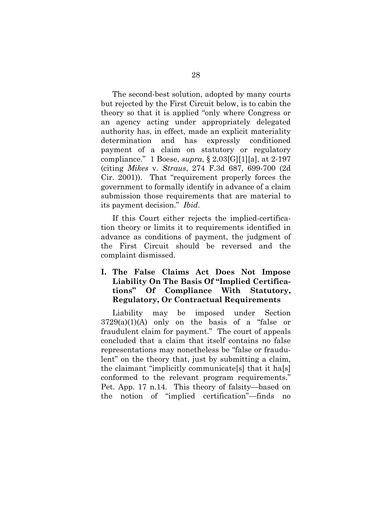The second-best solution, adopted by many courts but rejected by the First Circuit below, is to cabin the theory so that it is applied "only where Congress or an agency acting under appropriately delegated authority has, in effect, made an explicit materiality determination and has expressly conditioned payment of a claim on statutory or regulatory compliance." 1 Boese, *supra*, § 2.03[G][1][a], at 2-197 (citing *Mikes* v. *Straus*, 274 F.3d 687, 699-700 (2d Cir. 2001)). That "requirement properly forces the government to formally identify in advance of a claim submission those requirements that are material to its payment decision." *Ibid*.

If this Court either rejects the implied-certification theory or limits it to requirements identified in advance as conditions of payment, the judgment of the First Circuit should be reversed and the complaint dismissed.

# **I. The False Claims Act Does Not Impose Liability On The Basis Of "Implied Certifications" Of Compliance With Statutory, Regulatory, Or Contractual Requirements**

Liability may be imposed under Section  $3729(a)(1)(A)$  only on the basis of a "false or fraudulent claim for payment." The court of appeals concluded that a claim that itself contains no false representations may nonetheless be "false or fraudulent" on the theory that, just by submitting a claim, the claimant "implicitly communicate[s] that it ha[s] conformed to the relevant program requirements." Pet. App. 17 n.14. This theory of falsity—based on the notion of "implied certification"—finds no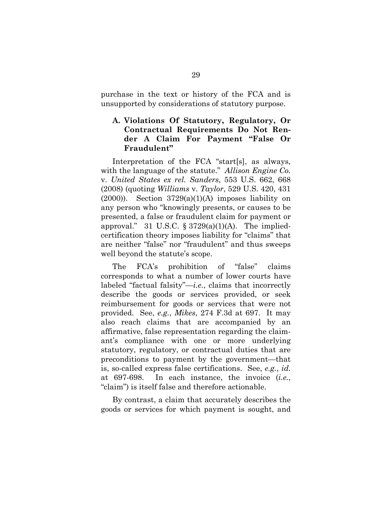purchase in the text or history of the FCA and is unsupported by considerations of statutory purpose.

## **A. Violations Of Statutory, Regulatory, Or Contractual Requirements Do Not Render A Claim For Payment "False Or Fraudulent"**

Interpretation of the FCA "start[s], as always, with the language of the statute." *Allison Engine Co.*  v. *United States ex rel. Sanders*, 553 U.S. 662, 668 (2008) (quoting *Williams* v. *Taylor*, 529 U.S. 420, 431  $(2000)$ . Section  $3729(a)(1)(A)$  imposes liability on any person who "knowingly presents, or causes to be presented, a false or fraudulent claim for payment or approval." 31 U.S.C.  $\S 3729(a)(1)(A)$ . The impliedcertification theory imposes liability for "claims" that are neither "false" nor "fraudulent" and thus sweeps well beyond the statute's scope.

The FCA's prohibition of "false" claims corresponds to what a number of lower courts have labeled "factual falsity"—*i.e.*, claims that incorrectly describe the goods or services provided, or seek reimbursement for goods or services that were not provided. See, *e.g.*, *Mikes*, 274 F.3d at 697. It may also reach claims that are accompanied by an affirmative, false representation regarding the claimant's compliance with one or more underlying statutory, regulatory, or contractual duties that are preconditions to payment by the government—that is, so-called express false certifications. See, *e.g.*, *id.* at 697-698. In each instance, the invoice (*i.e.*, "claim") is itself false and therefore actionable.

By contrast, a claim that accurately describes the goods or services for which payment is sought, and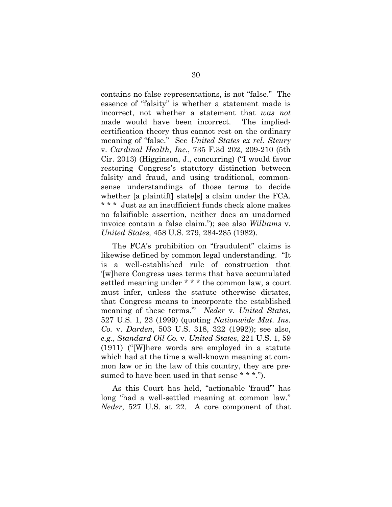contains no false representations, is not "false." The essence of "falsity" is whether a statement made is incorrect, not whether a statement that *was not*  made would have been incorrect. The impliedcertification theory thus cannot rest on the ordinary meaning of "false." See *United States ex rel. Steury*  v. *Cardinal Health, Inc.*, 735 F.3d 202, 209-210 (5th Cir. 2013) (Higginson, J., concurring) ("I would favor restoring Congress's statutory distinction between falsity and fraud, and using traditional, commonsense understandings of those terms to decide whether [a plaintiff] state[s] a claim under the FCA. \* \* \* Just as an insufficient funds check alone makes no falsifiable assertion, neither does an unadorned invoice contain a false claim."); see also *Williams* v. *United States,* 458 U.S. 279, 284-285 (1982).

The FCA's prohibition on "fraudulent" claims is likewise defined by common legal understanding. "It is a well-established rule of construction that '[w]here Congress uses terms that have accumulated settled meaning under \* \* \* the common law, a court must infer, unless the statute otherwise dictates, that Congress means to incorporate the established meaning of these terms.'" *Neder* v. *United States*, 527 U.S. 1, 23 (1999) (quoting *Nationwide Mut. Ins. Co.* v. *Darden*, 503 U.S. 318, 322 (1992)); see also, *e.g.*, *Standard Oil Co.* v. *United States*, 221 U.S. 1, 59 (1911) ("[W]here words are employed in a statute which had at the time a well-known meaning at common law or in the law of this country, they are presumed to have been used in that sense \* \* \*.").

As this Court has held, "actionable 'fraud'" has long "had a well-settled meaning at common law." *Neder*, 527 U.S. at 22. A core component of that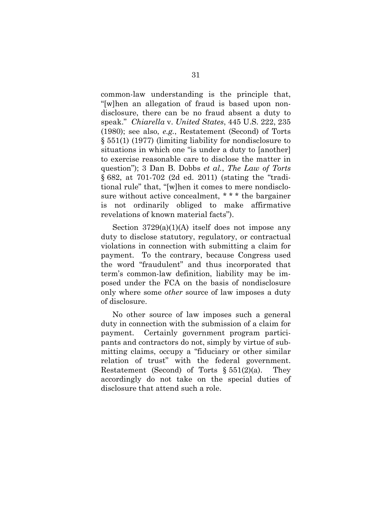common-law understanding is the principle that, "[w]hen an allegation of fraud is based upon nondisclosure, there can be no fraud absent a duty to speak." *Chiarella* v. *United States*, 445 U.S. 222, 235 (1980); see also, *e.g.*, Restatement (Second) of Torts § 551(1) (1977) (limiting liability for nondisclosure to situations in which one "is under a duty to [another] to exercise reasonable care to disclose the matter in question"); 3 Dan B. Dobbs *et al.*, *The Law of Torts* § 682, at 701-702 (2d ed. 2011) (stating the "traditional rule" that, "[w]hen it comes to mere nondisclosure without active concealment, \* \* \* the bargainer is not ordinarily obliged to make affirmative revelations of known material facts").

Section  $3729(a)(1)(A)$  itself does not impose any duty to disclose statutory, regulatory, or contractual violations in connection with submitting a claim for payment. To the contrary, because Congress used the word "fraudulent" and thus incorporated that term's common-law definition, liability may be imposed under the FCA on the basis of nondisclosure only where some *other* source of law imposes a duty of disclosure.

No other source of law imposes such a general duty in connection with the submission of a claim for payment. Certainly government program participants and contractors do not, simply by virtue of submitting claims, occupy a "fiduciary or other similar relation of trust" with the federal government. Restatement (Second) of Torts  $\S 551(2)(a)$ . They accordingly do not take on the special duties of disclosure that attend such a role.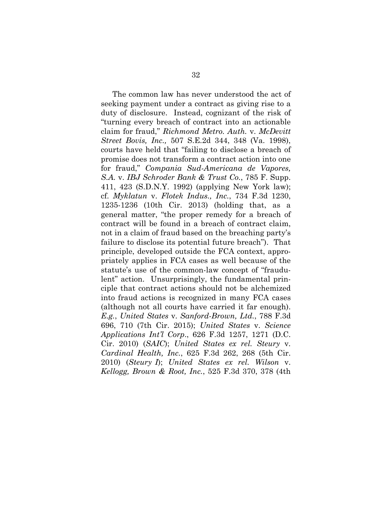The common law has never understood the act of seeking payment under a contract as giving rise to a duty of disclosure. Instead, cognizant of the risk of "turning every breach of contract into an actionable claim for fraud," *Richmond Metro. Auth.* v. *McDevitt Street Bovis, Inc.,* 507 S.E.2d 344, 348 (Va. 1998), courts have held that "failing to disclose a breach of promise does not transform a contract action into one for fraud," *Compania Sud-Americana de Vapores, S.A.* v. *IBJ Schroder Bank & Trust Co.*, 785 F. Supp. 411, 423 (S.D.N.Y. 1992) (applying New York law); cf. *Myklatun* v. *Flotek Indus., Inc.*, 734 F.3d 1230, 1235-1236 (10th Cir. 2013) (holding that, as a general matter, "the proper remedy for a breach of contract will be found in a breach of contract claim, not in a claim of fraud based on the breaching party's failure to disclose its potential future breach"). That principle, developed outside the FCA context, appropriately applies in FCA cases as well because of the statute's use of the common-law concept of "fraudulent" action. Unsurprisingly, the fundamental principle that contract actions should not be alchemized into fraud actions is recognized in many FCA cases (although not all courts have carried it far enough). *E.g.*, *United States* v. *Sanford-Brown, Ltd.*, 788 F.3d 696, 710 (7th Cir. 2015); *United States* v. *Science Applications Int'l Corp*., 626 F.3d 1257, 1271 (D.C. Cir. 2010) (*SAIC*); *United States ex rel. Steury* v. *Cardinal Health, Inc.*, 625 F.3d 262, 268 (5th Cir. 2010) (*Steury I*); *United States ex rel. Wilson* v. *Kellogg, Brown & Root, Inc.*, 525 F.3d 370, 378 (4th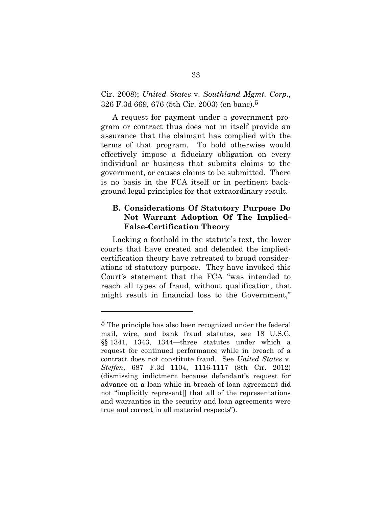#### Cir. 2008); *United States* v. *Southland Mgmt. Corp.*, 326 F.3d 669, 676 (5th Cir. 2003) (en banc).5

A request for payment under a government program or contract thus does not in itself provide an assurance that the claimant has complied with the terms of that program. To hold otherwise would effectively impose a fiduciary obligation on every individual or business that submits claims to the government, or causes claims to be submitted. There is no basis in the FCA itself or in pertinent background legal principles for that extraordinary result.

### **B. Considerations Of Statutory Purpose Do Not Warrant Adoption Of The Implied-False-Certification Theory**

Lacking a foothold in the statute's text, the lower courts that have created and defended the impliedcertification theory have retreated to broad considerations of statutory purpose. They have invoked this Court's statement that the FCA "was intended to reach all types of fraud, without qualification, that might result in financial loss to the Government,"

l

<sup>5</sup> The principle has also been recognized under the federal mail, wire, and bank fraud statutes, see 18 U.S.C. §§ 1341, 1343, 1344—three statutes under which a request for continued performance while in breach of a contract does not constitute fraud. See *United States* v. *Steffen*, 687 F.3d 1104, 1116-1117 (8th Cir. 2012) (dismissing indictment because defendant's request for advance on a loan while in breach of loan agreement did not "implicitly represent[] that all of the representations and warranties in the security and loan agreements were true and correct in all material respects").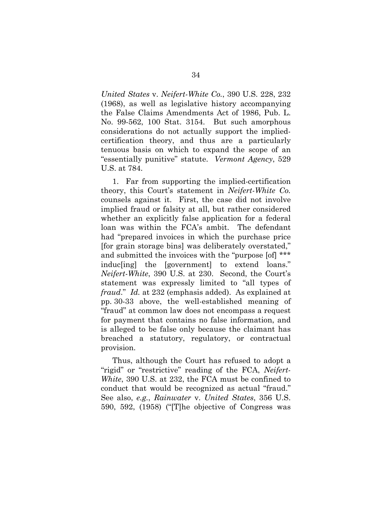*United States* v. *Neifert-White Co.*, 390 U.S. 228, 232 (1968), as well as legislative history accompanying the False Claims Amendments Act of 1986, Pub. L. No. 99-562, 100 Stat. 3154. But such amorphous considerations do not actually support the impliedcertification theory, and thus are a particularly tenuous basis on which to expand the scope of an "essentially punitive" statute. *Vermont Agency*, 529 U.S. at 784.

1. Far from supporting the implied-certification theory, this Court's statement in *Neifert-White Co.* counsels against it. First, the case did not involve implied fraud or falsity at all, but rather considered whether an explicitly false application for a federal loan was within the FCA's ambit. The defendant had "prepared invoices in which the purchase price [for grain storage bins] was deliberately overstated," and submitted the invoices with the "purpose [of] \*\*\* induc[ing] the [government] to extend loans." *Neifert-White*, 390 U.S. at 230. Second, the Court's statement was expressly limited to "all types of *fraud*." *Id.* at 232 (emphasis added). As explained at pp. 30-33 above, the well-established meaning of "fraud" at common law does not encompass a request for payment that contains no false information, and is alleged to be false only because the claimant has breached a statutory, regulatory, or contractual provision.

Thus, although the Court has refused to adopt a "rigid" or "restrictive" reading of the FCA, *Neifert-White*, 390 U.S. at 232, the FCA must be confined to conduct that would be recognized as actual "fraud." See also, *e.g.*, *Rainwater* v. *United States*, 356 U.S. 590, 592, (1958) ("[T]he objective of Congress was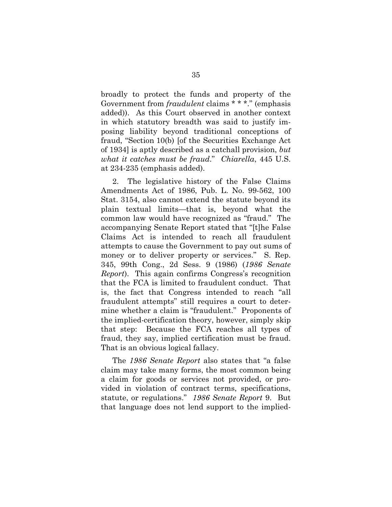broadly to protect the funds and property of the Government from *fraudulent* claims \* \* \*." (emphasis added)). As this Court observed in another context in which statutory breadth was said to justify imposing liability beyond traditional conceptions of fraud, "Section 10(b) [of the Securities Exchange Act of 1934] is aptly described as a catchall provision, *but what it catches must be fraud*." *Chiarella*, 445 U.S. at 234-235 (emphasis added).

2. The legislative history of the False Claims Amendments Act of 1986, Pub. L. No. 99-562, 100 Stat. 3154, also cannot extend the statute beyond its plain textual limits—that is, beyond what the common law would have recognized as "fraud." The accompanying Senate Report stated that "[t]he False Claims Act is intended to reach all fraudulent attempts to cause the Government to pay out sums of money or to deliver property or services." S. Rep. 345, 99th Cong., 2d Sess. 9 (1986) (*1986 Senate Report*). This again confirms Congress's recognition that the FCA is limited to fraudulent conduct. That is, the fact that Congress intended to reach "all fraudulent attempts" still requires a court to determine whether a claim is "fraudulent." Proponents of the implied-certification theory, however, simply skip that step: Because the FCA reaches all types of fraud, they say, implied certification must be fraud. That is an obvious logical fallacy.

The *1986 Senate Report* also states that "a false claim may take many forms, the most common being a claim for goods or services not provided, or provided in violation of contract terms, specifications, statute, or regulations." *1986 Senate Report* 9. But that language does not lend support to the implied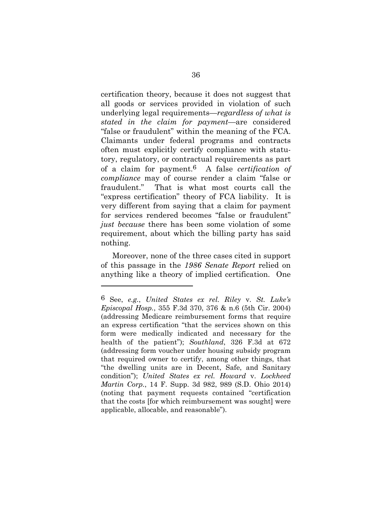certification theory, because it does not suggest that all goods or services provided in violation of such underlying legal requirements—*regardless of what is stated in the claim for payment*—are considered "false or fraudulent" within the meaning of the FCA. Claimants under federal programs and contracts often must explicitly certify compliance with statutory, regulatory, or contractual requirements as part of a claim for payment.6 A false *certification of compliance* may of course render a claim "false or fraudulent." That is what most courts call the "express certification" theory of FCA liability. It is very different from saying that a claim for payment for services rendered becomes "false or fraudulent" *just because* there has been some violation of some requirement, about which the billing party has said nothing.

Moreover, none of the three cases cited in support of this passage in the *1986 Senate Report* relied on anything like a theory of implied certification. One

l

<sup>6</sup> See, *e.g.*, *United States ex rel. Riley* v. *St. Luke's Episcopal Hosp.*, 355 F.3d 370, 376 & n.6 (5th Cir. 2004) (addressing Medicare reimbursement forms that require an express certification "that the services shown on this form were medically indicated and necessary for the health of the patient"); *Southland*, 326 F.3d at 672 (addressing form voucher under housing subsidy program that required owner to certify, among other things, that "the dwelling units are in Decent, Safe, and Sanitary condition"); *United States ex rel. Howard* v. *Lockheed Martin Corp.*, 14 F. Supp. 3d 982, 989 (S.D. Ohio 2014) (noting that payment requests contained "certification that the costs [for which reimbursement was sought] were applicable, allocable, and reasonable").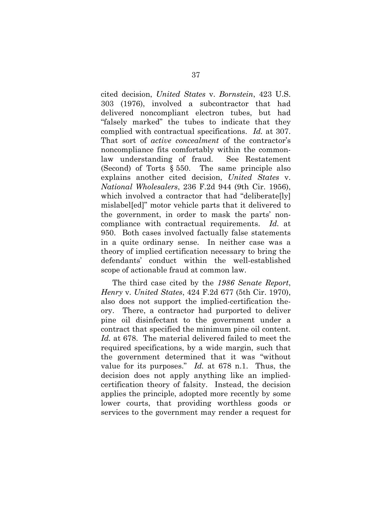cited decision, *United States* v. *Bornstein*, 423 U.S. 303 (1976), involved a subcontractor that had delivered noncompliant electron tubes, but had "falsely marked" the tubes to indicate that they complied with contractual specifications. *Id.* at 307. That sort of *active concealment* of the contractor's noncompliance fits comfortably within the commonlaw understanding of fraud. See Restatement (Second) of Torts § 550. The same principle also explains another cited decision, *United States* v. *National Wholesalers*, 236 F.2d 944 (9th Cir. 1956), which involved a contractor that had "deliberate[ly] mislabel[ed]" motor vehicle parts that it delivered to the government, in order to mask the parts' noncompliance with contractual requirements. *Id.* at 950. Both cases involved factually false statements in a quite ordinary sense. In neither case was a theory of implied certification necessary to bring the defendants' conduct within the well-established scope of actionable fraud at common law.

The third case cited by the *1986 Senate Report*, *Henry* v. *United States*, 424 F.2d 677 (5th Cir. 1970), also does not support the implied-certification theory. There, a contractor had purported to deliver pine oil disinfectant to the government under a contract that specified the minimum pine oil content. *Id.* at 678. The material delivered failed to meet the required specifications, by a wide margin, such that the government determined that it was "without value for its purposes." *Id.* at 678 n.1. Thus, the decision does not apply anything like an impliedcertification theory of falsity. Instead, the decision applies the principle, adopted more recently by some lower courts, that providing worthless goods or services to the government may render a request for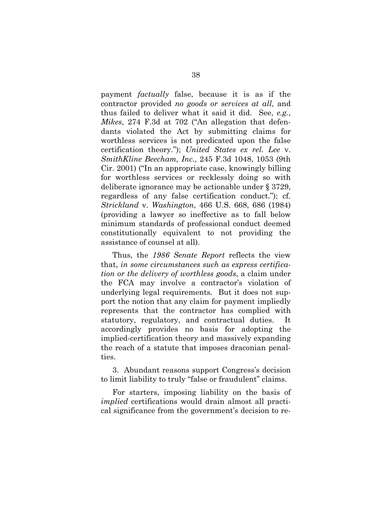payment *factually* false, because it is as if the contractor provided *no goods or services at all*, and thus failed to deliver what it said it did. See, *e.g.*, *Mikes*, 274 F.3d at 702 ("An allegation that defendants violated the Act by submitting claims for worthless services is not predicated upon the false certification theory."); *United States ex rel. Lee* v. *SmithKline Beecham, Inc.*, 245 F.3d 1048, 1053 (9th Cir. 2001) ("In an appropriate case, knowingly billing for worthless services or recklessly doing so with deliberate ignorance may be actionable under § 3729, regardless of any false certification conduct."); cf. *Strickland* v. *Washington*, 466 U.S. 668, 686 (1984) (providing a lawyer so ineffective as to fall below minimum standards of professional conduct deemed constitutionally equivalent to not providing the assistance of counsel at all).

Thus, the *1986 Senate Report* reflects the view that, *in some circumstances such as express certification or the delivery of worthless goods*, a claim under the FCA may involve a contractor's violation of underlying legal requirements. But it does not support the notion that any claim for payment impliedly represents that the contractor has complied with statutory, regulatory, and contractual duties. It accordingly provides no basis for adopting the implied-certification theory and massively expanding the reach of a statute that imposes draconian penalties.

3. Abundant reasons support Congress's decision to limit liability to truly "false or fraudulent" claims.

For starters, imposing liability on the basis of *implied* certifications would drain almost all practical significance from the government's decision to re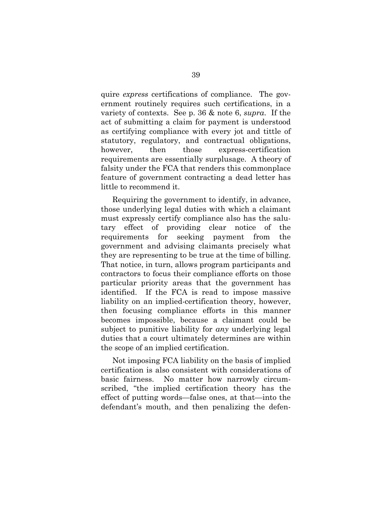quire *express* certifications of compliance. The government routinely requires such certifications, in a variety of contexts. See p. 36 & note 6, *supra*. If the act of submitting a claim for payment is understood as certifying compliance with every jot and tittle of statutory, regulatory, and contractual obligations, however, then those express-certification requirements are essentially surplusage. A theory of falsity under the FCA that renders this commonplace feature of government contracting a dead letter has little to recommend it.

Requiring the government to identify, in advance, those underlying legal duties with which a claimant must expressly certify compliance also has the salutary effect of providing clear notice of the requirements for seeking payment from the government and advising claimants precisely what they are representing to be true at the time of billing. That notice, in turn, allows program participants and contractors to focus their compliance efforts on those particular priority areas that the government has identified. If the FCA is read to impose massive liability on an implied-certification theory, however, then focusing compliance efforts in this manner becomes impossible, because a claimant could be subject to punitive liability for *any* underlying legal duties that a court ultimately determines are within the scope of an implied certification.

Not imposing FCA liability on the basis of implied certification is also consistent with considerations of basic fairness. No matter how narrowly circumscribed, "the implied certification theory has the effect of putting words—false ones, at that—into the defendant's mouth, and then penalizing the defen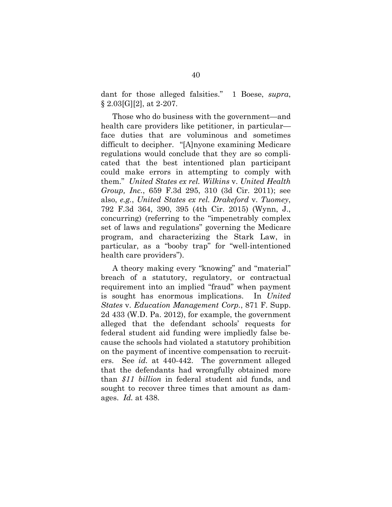dant for those alleged falsities." 1 Boese, *supra*,  $\S 2.03[G][2]$ , at 2-207.

Those who do business with the government—and health care providers like petitioner, in particular face duties that are voluminous and sometimes difficult to decipher. "[A]nyone examining Medicare regulations would conclude that they are so complicated that the best intentioned plan participant could make errors in attempting to comply with them." *United States ex rel. Wilkins* v. *United Health Group, Inc.*, 659 F.3d 295, 310 (3d Cir. 2011); see also, *e.g.*, *United States ex rel. Drakeford* v. *Tuomey*, 792 F.3d 364, 390, 395 (4th Cir. 2015) (Wynn, J., concurring) (referring to the "impenetrably complex set of laws and regulations" governing the Medicare program, and characterizing the Stark Law, in particular, as a "booby trap" for "well-intentioned health care providers").

A theory making every "knowing" and "material" breach of a statutory, regulatory, or contractual requirement into an implied "fraud" when payment is sought has enormous implications. In *United States* v. *Education Management Corp.*, 871 F. Supp. 2d 433 (W.D. Pa. 2012), for example, the government alleged that the defendant schools' requests for federal student aid funding were impliedly false because the schools had violated a statutory prohibition on the payment of incentive compensation to recruiters. See *id.* at 440-442. The government alleged that the defendants had wrongfully obtained more than *\$11 billion* in federal student aid funds, and sought to recover three times that amount as damages. *Id.* at 438.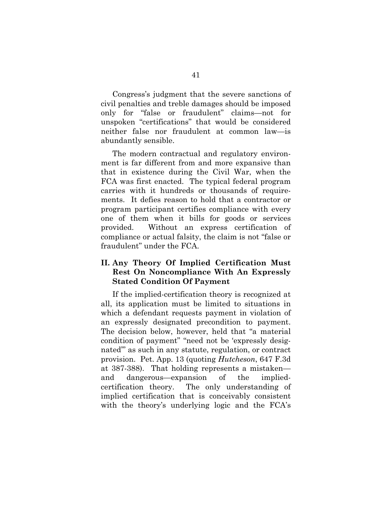Congress's judgment that the severe sanctions of civil penalties and treble damages should be imposed only for "false or fraudulent" claims—not for unspoken "certifications" that would be considered neither false nor fraudulent at common law—is abundantly sensible.

The modern contractual and regulatory environment is far different from and more expansive than that in existence during the Civil War, when the FCA was first enacted. The typical federal program carries with it hundreds or thousands of requirements. It defies reason to hold that a contractor or program participant certifies compliance with every one of them when it bills for goods or services provided. Without an express certification of compliance or actual falsity, the claim is not "false or fraudulent" under the FCA.

## **II. Any Theory Of Implied Certification Must Rest On Noncompliance With An Expressly Stated Condition Of Payment**

If the implied-certification theory is recognized at all, its application must be limited to situations in which a defendant requests payment in violation of an expressly designated precondition to payment. The decision below, however, held that "a material condition of payment" "need not be 'expressly designated'" as such in any statute, regulation, or contract provision. Pet. App. 13 (quoting *Hutcheson*, 647 F.3d at 387-388). That holding represents a mistaken and dangerous—expansion of the impliedcertification theory. The only understanding of implied certification that is conceivably consistent with the theory's underlying logic and the FCA's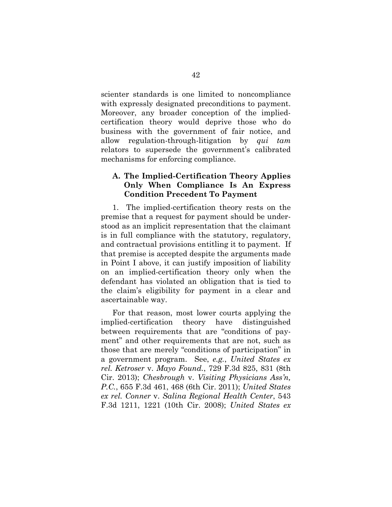scienter standards is one limited to noncompliance with expressly designated preconditions to payment. Moreover, any broader conception of the impliedcertification theory would deprive those who do business with the government of fair notice, and allow regulation-through-litigation by *qui tam* relators to supersede the government's calibrated mechanisms for enforcing compliance.

#### **A. The Implied-Certification Theory Applies Only When Compliance Is An Express Condition Precedent To Payment**

1. The implied-certification theory rests on the premise that a request for payment should be understood as an implicit representation that the claimant is in full compliance with the statutory, regulatory, and contractual provisions entitling it to payment. If that premise is accepted despite the arguments made in Point I above, it can justify imposition of liability on an implied-certification theory only when the defendant has violated an obligation that is tied to the claim's eligibility for payment in a clear and ascertainable way.

For that reason, most lower courts applying the implied-certification theory have distinguished between requirements that are "conditions of payment" and other requirements that are not, such as those that are merely "conditions of participation" in a government program. See, *e.g.*, *United States ex rel. Ketroser* v. *Mayo Found.*, 729 F.3d 825, 831 (8th Cir. 2013); *Chesbrough* v. *Visiting Physicians Ass'n, P.C.*, 655 F.3d 461, 468 (6th Cir. 2011); *United States ex rel. Conner* v. *Salina Regional Health Center*, 543 F.3d 1211, 1221 (10th Cir. 2008); *United States ex*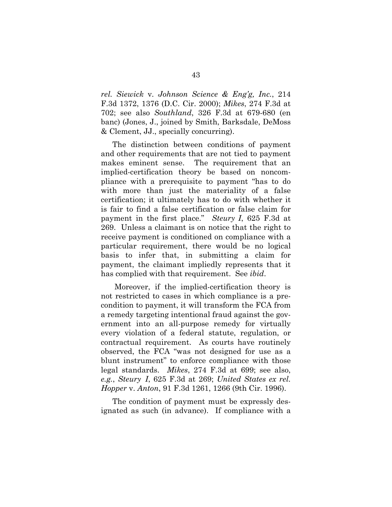*rel. Siewick* v. *Johnson Science & Eng'g, Inc.*, 214 F.3d 1372, 1376 (D.C. Cir. 2000); *Mikes*, 274 F.3d at 702; see also *Southland*, 326 F.3d at 679-680 (en banc) (Jones, J., joined by Smith, Barksdale, DeMoss & Clement, JJ., specially concurring).

The distinction between conditions of payment and other requirements that are not tied to payment makes eminent sense. The requirement that an implied-certification theory be based on noncompliance with a prerequisite to payment "has to do with more than just the materiality of a false certification; it ultimately has to do with whether it is fair to find a false certification or false claim for payment in the first place." *Steury I*, 625 F.3d at 269. Unless a claimant is on notice that the right to receive payment is conditioned on compliance with a particular requirement, there would be no logical basis to infer that, in submitting a claim for payment, the claimant impliedly represents that it has complied with that requirement. See *ibid*.

 Moreover, if the implied-certification theory is not restricted to cases in which compliance is a precondition to payment, it will transform the FCA from a remedy targeting intentional fraud against the government into an all-purpose remedy for virtually every violation of a federal statute, regulation, or contractual requirement. As courts have routinely observed, the FCA "was not designed for use as a blunt instrument" to enforce compliance with those legal standards. *Mikes*, 274 F.3d at 699; see also, *e.g.*, *Steury I*, 625 F.3d at 269; *United States ex rel. Hopper* v. *Anton*, 91 F.3d 1261, 1266 (9th Cir. 1996).

The condition of payment must be expressly designated as such (in advance). If compliance with a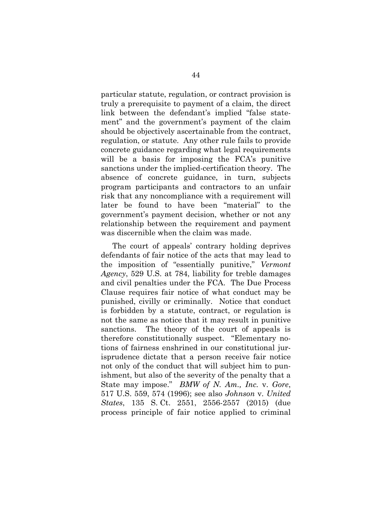particular statute, regulation, or contract provision is truly a prerequisite to payment of a claim, the direct link between the defendant's implied "false statement" and the government's payment of the claim should be objectively ascertainable from the contract, regulation, or statute. Any other rule fails to provide concrete guidance regarding what legal requirements will be a basis for imposing the FCA's punitive sanctions under the implied-certification theory. The absence of concrete guidance, in turn, subjects program participants and contractors to an unfair risk that any noncompliance with a requirement will later be found to have been "material" to the government's payment decision, whether or not any relationship between the requirement and payment was discernible when the claim was made.

The court of appeals' contrary holding deprives defendants of fair notice of the acts that may lead to the imposition of "essentially punitive," *Vermont Agency*, 529 U.S. at 784, liability for treble damages and civil penalties under the FCA. The Due Process Clause requires fair notice of what conduct may be punished, civilly or criminally. Notice that conduct is forbidden by a statute, contract, or regulation is not the same as notice that it may result in punitive sanctions. The theory of the court of appeals is therefore constitutionally suspect. "Elementary notions of fairness enshrined in our constitutional jurisprudence dictate that a person receive fair notice not only of the conduct that will subject him to punishment, but also of the severity of the penalty that a State may impose." *BMW of N. Am., Inc.* v. *Gore*, 517 U.S. 559, 574 (1996); see also *Johnson* v. *United States*, 135 S. Ct. 2551, 2556-2557 (2015) (due process principle of fair notice applied to criminal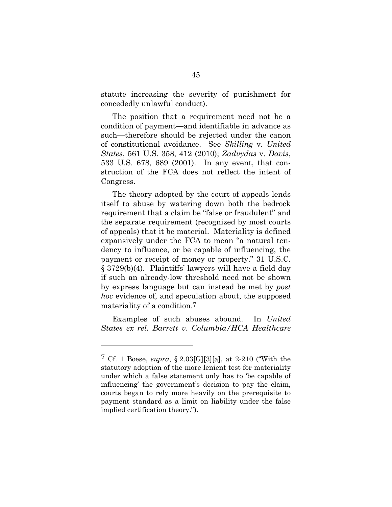statute increasing the severity of punishment for concededly unlawful conduct).

The position that a requirement need not be a condition of payment—and identifiable in advance as such—therefore should be rejected under the canon of constitutional avoidance. See *Skilling* v. *United States*, 561 U.S. 358, 412 (2010); *Zadvydas* v. *Davis*, 533 U.S. 678, 689 (2001). In any event, that construction of the FCA does not reflect the intent of Congress.

The theory adopted by the court of appeals lends itself to abuse by watering down both the bedrock requirement that a claim be "false or fraudulent" and the separate requirement (recognized by most courts of appeals) that it be material. Materiality is defined expansively under the FCA to mean "a natural tendency to influence, or be capable of influencing, the payment or receipt of money or property." 31 U.S.C. § 3729(b)(4). Plaintiffs' lawyers will have a field day if such an already-low threshold need not be shown by express language but can instead be met by *post hoc* evidence of, and speculation about, the supposed materiality of a condition.7

Examples of such abuses abound. In *United States ex rel. Barrett v*. *Columbia/HCA Healthcare* 

l

<sup>7</sup> Cf. 1 Boese, *supra*, § 2.03[G][3][a], at 2-210 ("With the statutory adoption of the more lenient test for materiality under which a false statement only has to 'be capable of influencing' the government's decision to pay the claim, courts began to rely more heavily on the prerequisite to payment standard as a limit on liability under the false implied certification theory.").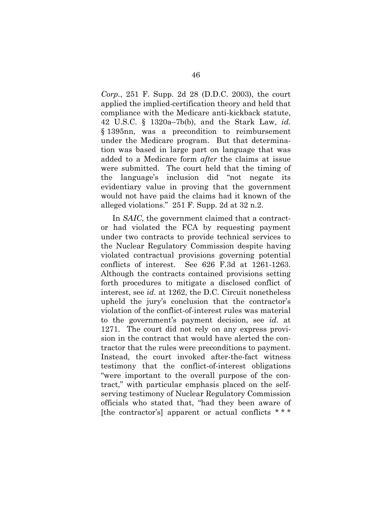*Corp.*, 251 F. Supp. 2d 28 (D.D.C. 2003), the court applied the implied-certification theory and held that compliance with the Medicare anti-kickback statute, 42 U.S.C. § 1320a–7b(b), and the Stark Law, *id.* § 1395nn, was a precondition to reimbursement under the Medicare program. But that determination was based in large part on language that was added to a Medicare form *after* the claims at issue were submitted. The court held that the timing of the language's inclusion did "not negate its evidentiary value in proving that the government would not have paid the claims had it known of the alleged violations." 251 F. Supp. 2d at 32 n.2.

In *SAIC*, the government claimed that a contractor had violated the FCA by requesting payment under two contracts to provide technical services to the Nuclear Regulatory Commission despite having violated contractual provisions governing potential conflicts of interest. See 626 F*.*3d at 1261-1263. Although the contracts contained provisions setting forth procedures to mitigate a disclosed conflict of interest, see *id.* at 1262, the D.C. Circuit nonetheless upheld the jury's conclusion that the contractor's violation of the conflict-of-interest rules was material to the government's payment decision, see *id.* at 1271. The court did not rely on any express provision in the contract that would have alerted the contractor that the rules were preconditions to payment. Instead, the court invoked after-the-fact witness testimony that the conflict-of-interest obligations "were important to the overall purpose of the contract," with particular emphasis placed on the selfserving testimony of Nuclear Regulatory Commission officials who stated that, "had they been aware of [the contractor's] apparent or actual conflicts  $***$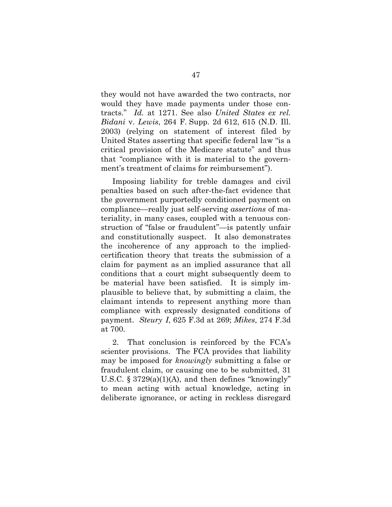they would not have awarded the two contracts, nor would they have made payments under those contracts." *Id.* at 1271. See also *United States ex rel. Bidani* v. *Lewis*, 264 F. Supp. 2d 612, 615 (N.D. Ill. 2003) (relying on statement of interest filed by United States asserting that specific federal law "is a critical provision of the Medicare statute" and thus that "compliance with it is material to the government's treatment of claims for reimbursement").

Imposing liability for treble damages and civil penalties based on such after-the-fact evidence that the government purportedly conditioned payment on compliance—really just self-serving *assertions* of materiality, in many cases, coupled with a tenuous construction of "false or fraudulent"—is patently unfair and constitutionally suspect. It also demonstrates the incoherence of any approach to the impliedcertification theory that treats the submission of a claim for payment as an implied assurance that all conditions that a court might subsequently deem to be material have been satisfied. It is simply implausible to believe that, by submitting a claim, the claimant intends to represent anything more than compliance with expressly designated conditions of payment. *Steury I*, 625 F.3d at 269; *Mikes*, 274 F.3d at 700.

2. That conclusion is reinforced by the FCA's scienter provisions. The FCA provides that liability may be imposed for *knowingly* submitting a false or fraudulent claim, or causing one to be submitted, 31 U.S.C. § 3729(a)(1)(A), and then defines "knowingly" to mean acting with actual knowledge, acting in deliberate ignorance, or acting in reckless disregard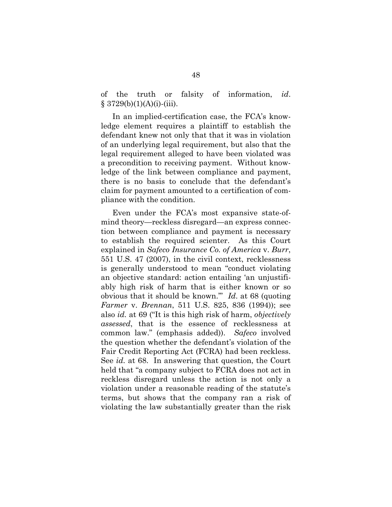of the truth or falsity of information, *id*.  $$3729(b)(1)(A)(i)-(iii).$ 

In an implied-certification case, the FCA's knowledge element requires a plaintiff to establish the defendant knew not only that that it was in violation of an underlying legal requirement, but also that the legal requirement alleged to have been violated was a precondition to receiving payment. Without knowledge of the link between compliance and payment, there is no basis to conclude that the defendant's claim for payment amounted to a certification of compliance with the condition.

Even under the FCA's most expansive state-ofmind theory—reckless disregard—an express connection between compliance and payment is necessary to establish the required scienter. As this Court explained in *Safeco Insurance Co. of America* v. *Burr*, 551 U.S. 47 (2007), in the civil context, recklessness is generally understood to mean "conduct violating an objective standard: action entailing 'an unjustifiably high risk of harm that is either known or so obvious that it should be known.'" *Id*. at 68 (quoting *Farmer* v. *Brennan*, 511 U.S. 825, 836 (1994)); see also *id.* at 69 ("It is this high risk of harm, *objectively assessed*, that is the essence of recklessness at common law." (emphasis added)). *Safeco* involved the question whether the defendant's violation of the Fair Credit Reporting Act (FCRA) had been reckless. See *id.* at 68. In answering that question, the Court held that "a company subject to FCRA does not act in reckless disregard unless the action is not only a violation under a reasonable reading of the statute's terms, but shows that the company ran a risk of violating the law substantially greater than the risk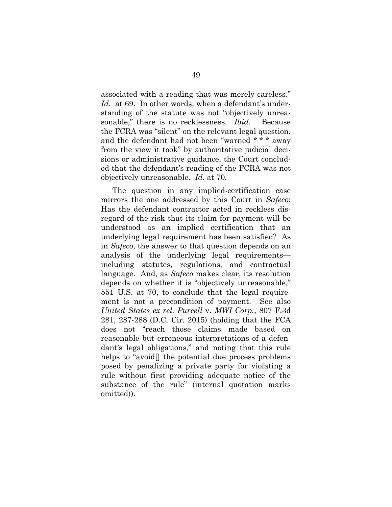associated with a reading that was merely careless." Id. at 69. In other words, when a defendant's understanding of the statute was not "objectively unreasonable," there is no recklessness. *Ibid*. Because the FCRA was "silent" on the relevant legal question, and the defendant had not been "warned \* \* \* away from the view it took" by authoritative judicial decisions or administrative guidance, the Court concluded that the defendant's reading of the FCRA was not objectively unreasonable. *Id.* at 70.

The question in any implied-certification case mirrors the one addressed by this Court in *Safeco*: Has the defendant contractor acted in reckless disregard of the risk that its claim for payment will be understood as an implied certification that an underlying legal requirement has been satisfied? As in *Safeco*, the answer to that question depends on an analysis of the underlying legal requirements including statutes, regulations, and contractual language. And, as *Safeco* makes clear, its resolution depends on whether it is "objectively unreasonable," 551 U.S. at 70, to conclude that the legal requirement is not a precondition of payment. See also *United States ex rel. Purcell* v. *MWI Corp.*, 807 F.3d 281, 287-288 (D.C. Cir. 2015) (holding that the FCA does not "reach those claims made based on reasonable but erroneous interpretations of a defendant's legal obligations," and noting that this rule helps to "avoid<sup>[]</sup> the potential due process problems posed by penalizing a private party for violating a rule without first providing adequate notice of the substance of the rule" (internal quotation marks omitted)).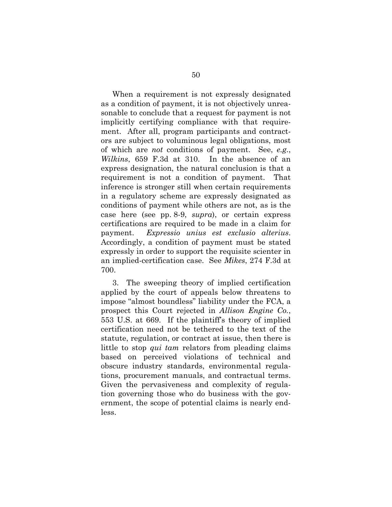When a requirement is not expressly designated as a condition of payment, it is not objectively unreasonable to conclude that a request for payment is not implicitly certifying compliance with that requirement. After all, program participants and contractors are subject to voluminous legal obligations, most of which are *not* conditions of payment. See, *e.g.*, *Wilkins*, 659 F.3d at 310. In the absence of an express designation, the natural conclusion is that a requirement is not a condition of payment. That inference is stronger still when certain requirements in a regulatory scheme are expressly designated as conditions of payment while others are not, as is the case here (see pp. 8-9, *supra*), or certain express certifications are required to be made in a claim for payment. *Expressio unius est exclusio alterius*. Accordingly, a condition of payment must be stated expressly in order to support the requisite scienter in an implied-certification case. See *Mikes*, 274 F.3d at 700.

3. The sweeping theory of implied certification applied by the court of appeals below threatens to impose "almost boundless" liability under the FCA, a prospect this Court rejected in *Allison Engine Co.*, 553 U.S. at 669. If the plaintiff's theory of implied certification need not be tethered to the text of the statute, regulation, or contract at issue, then there is little to stop *qui tam* relators from pleading claims based on perceived violations of technical and obscure industry standards, environmental regulations, procurement manuals, and contractual terms. Given the pervasiveness and complexity of regulation governing those who do business with the government, the scope of potential claims is nearly endless.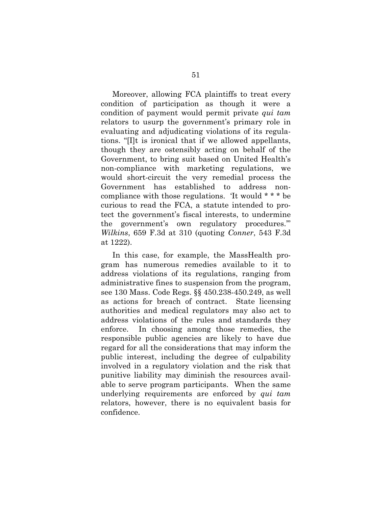Moreover, allowing FCA plaintiffs to treat every condition of participation as though it were a condition of payment would permit private *qui tam* relators to usurp the government's primary role in evaluating and adjudicating violations of its regulations. "[I]t is ironical that if we allowed appellants, though they are ostensibly acting on behalf of the Government, to bring suit based on United Health's non-compliance with marketing regulations, we would short-circuit the very remedial process the Government has established to address noncompliance with those regulations. 'It would \* \* \* be curious to read the FCA, a statute intended to protect the government's fiscal interests, to undermine the government's own regulatory procedures.'" *Wilkins*, 659 F.3d at 310 (quoting *Conner*, 543 F.3d at 1222).

In this case, for example, the MassHealth program has numerous remedies available to it to address violations of its regulations, ranging from administrative fines to suspension from the program, see 130 Mass. Code Regs. §§ 450.238-450.249, as well as actions for breach of contract. State licensing authorities and medical regulators may also act to address violations of the rules and standards they enforce. In choosing among those remedies, the responsible public agencies are likely to have due regard for all the considerations that may inform the public interest, including the degree of culpability involved in a regulatory violation and the risk that punitive liability may diminish the resources available to serve program participants. When the same underlying requirements are enforced by *qui tam* relators, however, there is no equivalent basis for confidence.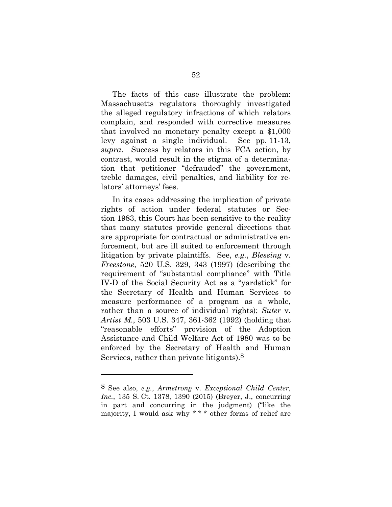The facts of this case illustrate the problem: Massachusetts regulators thoroughly investigated the alleged regulatory infractions of which relators complain, and responded with corrective measures that involved no monetary penalty except a \$1,000 levy against a single individual. See pp. 11-13, *supra*. Success by relators in this FCA action, by contrast, would result in the stigma of a determination that petitioner "defrauded" the government, treble damages, civil penalties, and liability for relators' attorneys' fees.

In its cases addressing the implication of private rights of action under federal statutes or Section 1983, this Court has been sensitive to the reality that many statutes provide general directions that are appropriate for contractual or administrative enforcement, but are ill suited to enforcement through litigation by private plaintiffs. See, *e.g.*, *Blessing* v. *Freestone*, 520 U.S. 329, 343 (1997) (describing the requirement of "substantial compliance" with Title IV-D of the Social Security Act as a "yardstick" for the Secretary of Health and Human Services to measure performance of a program as a whole, rather than a source of individual rights); *Suter* v. *Artist M.*, 503 U.S. 347, 361-362 (1992) (holding that "reasonable efforts" provision of the Adoption Assistance and Child Welfare Act of 1980 was to be enforced by the Secretary of Health and Human Services, rather than private litigants).8

l

<sup>8</sup> See also, *e.g.*, *Armstrong* v. *Exceptional Child Center, Inc.*, 135 S. Ct. 1378, 1390 (2015) (Breyer, J., concurring in part and concurring in the judgment) ("like the majority, I would ask why \* \* \* other forms of relief are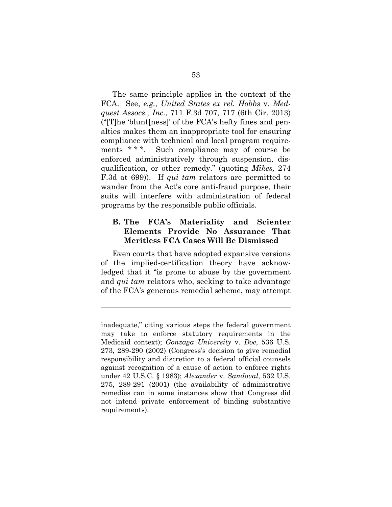The same principle applies in the context of the FCA. See, *e.g.*, *United States ex rel. Hobbs* v. *Medquest Assocs., Inc.*, 711 F.3d 707, 717 (6th Cir. 2013) ("[T]he 'blunt[ness]' of the FCA's hefty fines and penalties makes them an inappropriate tool for ensuring compliance with technical and local program requirements \* \* \*. Such compliance may of course be enforced administratively through suspension, disqualification, or other remedy." (quoting *Mikes,* 274 F.3d at 699)). If *qui tam* relators are permitted to wander from the Act's core anti-fraud purpose, their suits will interfere with administration of federal programs by the responsible public officials.

#### **B. The FCA's Materiality and Scienter Elements Provide No Assurance That Meritless FCA Cases Will Be Dismissed**

Even courts that have adopted expansive versions of the implied-certification theory have acknowledged that it "is prone to abuse by the government and *qui tam* relators who, seeking to take advantage of the FCA's generous remedial scheme, may attempt

inadequate," citing various steps the federal government may take to enforce statutory requirements in the Medicaid context); *Gonzaga University* v. *Doe*, 536 U.S. 273, 289-290 (2002) (Congress's decision to give remedial responsibility and discretion to a federal official counsels against recognition of a cause of action to enforce rights under 42 U.S.C. § 1983); *Alexander* v. *Sandoval*, 532 U.S. 275, 289-291 (2001) (the availability of administrative remedies can in some instances show that Congress did not intend private enforcement of binding substantive requirements).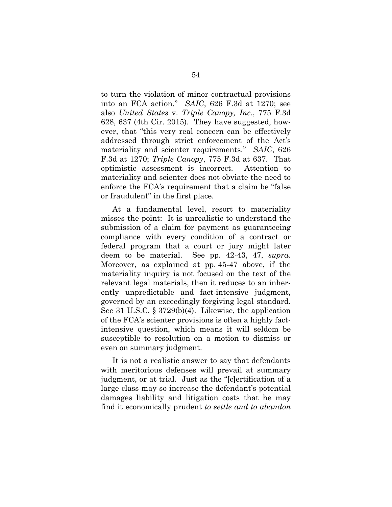to turn the violation of minor contractual provisions into an FCA action." *SAIC*, 626 F.3d at 1270; see also *United States* v. *Triple Canopy, Inc.*, 775 F.3d 628, 637 (4th Cir. 2015). They have suggested, however, that "this very real concern can be effectively addressed through strict enforcement of the Act's materiality and scienter requirements." *SAIC*, 626 F.3d at 1270; *Triple Canopy*, 775 F.3d at 637. That optimistic assessment is incorrect. Attention to materiality and scienter does not obviate the need to enforce the FCA's requirement that a claim be "false or fraudulent" in the first place.

At a fundamental level, resort to materiality misses the point: It is unrealistic to understand the submission of a claim for payment as guaranteeing compliance with every condition of a contract or federal program that a court or jury might later deem to be material. See pp. 42-43, 47, *supra*. Moreover, as explained at pp. 45-47 above, if the materiality inquiry is not focused on the text of the relevant legal materials, then it reduces to an inherently unpredictable and fact-intensive judgment, governed by an exceedingly forgiving legal standard. See 31 U.S.C. § 3729(b)(4). Likewise, the application of the FCA's scienter provisions is often a highly factintensive question, which means it will seldom be susceptible to resolution on a motion to dismiss or even on summary judgment.

It is not a realistic answer to say that defendants with meritorious defenses will prevail at summary judgment, or at trial. Just as the "[c]ertification of a large class may so increase the defendant's potential damages liability and litigation costs that he may find it economically prudent *to settle and to abandon*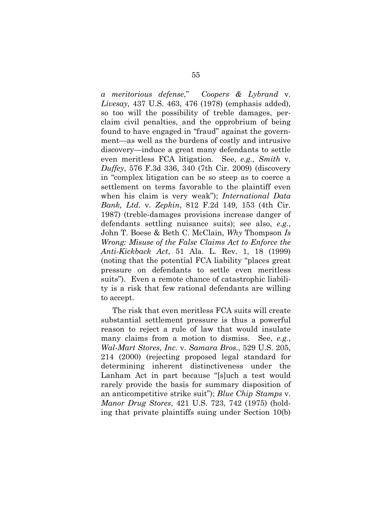*a meritorious defense*," *Coopers & Lybrand* v. *Livesay,* 437 U.S. 463, 476 (1978) (emphasis added), so too will the possibility of treble damages, perclaim civil penalties, and the opprobrium of being found to have engaged in "fraud" against the government—as well as the burdens of costly and intrusive discovery—induce a great many defendants to settle even meritless FCA litigation. See, *e.g.*, *Smith* v. *Duffey*, 576 F.3d 336, 340 (7th Cir. 2009) (discovery in "complex litigation can be so steep as to coerce a settlement on terms favorable to the plaintiff even when his claim is very weak"); *International Data Bank, Ltd.* v. *Zepkin*, 812 F.2d 149, 153 (4th Cir. 1987) (treble-damages provisions increase danger of defendants settling nuisance suits); see also, *e.g.*, John T. Boese & Beth C. McClain, *Why* Thompson *Is Wrong: Misuse of the False Claims Act to Enforce the Anti-Kickback Act*, 51 Ala. L. Rev. 1, 18 (1999) (noting that the potential FCA liability "places great pressure on defendants to settle even meritless suits"). Even a remote chance of catastrophic liability is a risk that few rational defendants are willing to accept.

The risk that even meritless FCA suits will create substantial settlement pressure is thus a powerful reason to reject a rule of law that would insulate many claims from a motion to dismiss. See, *e.g.*, *Wal-Mart Stores, Inc.* v. *Samara Bros.*, 529 U.S. 205, 214 (2000) (rejecting proposed legal standard for determining inherent distinctiveness under the Lanham Act in part because "[s]uch a test would rarely provide the basis for summary disposition of an anticompetitive strike suit"); *Blue Chip Stamps* v. *Manor Drug Stores*, 421 U.S. 723, 742 (1975) (holding that private plaintiffs suing under Section 10(b)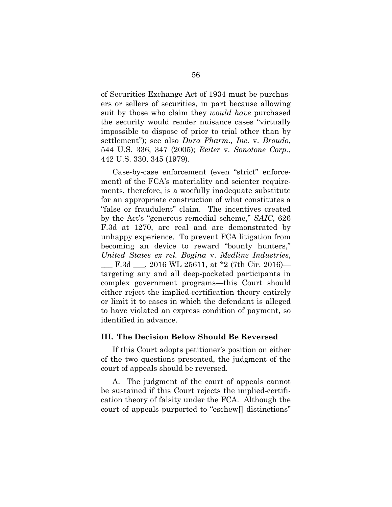of Securities Exchange Act of 1934 must be purchasers or sellers of securities, in part because allowing suit by those who claim they *would have* purchased the security would render nuisance cases "virtually impossible to dispose of prior to trial other than by settlement"); see also *Dura Pharm., Inc.* v. *Broudo*, 544 U.S. 336, 347 (2005); *Reiter* v. *Sonotone Corp.*, 442 U.S. 330, 345 (1979).

Case-by-case enforcement (even "strict" enforcement) of the FCA's materiality and scienter requirements, therefore, is a woefully inadequate substitute for an appropriate construction of what constitutes a "false or fraudulent" claim. The incentives created by the Act's "generous remedial scheme," *SAIC*, 626 F.3d at 1270, are real and are demonstrated by unhappy experience. To prevent FCA litigation from becoming an device to reward "bounty hunters," *United States ex rel. Bogina* v. *Medline Industries*, F.3d  $\_$ , 2016 WL 25611, at \*2 (7th Cir. 2016) targeting any and all deep-pocketed participants in complex government programs—this Court should either reject the implied-certification theory entirely or limit it to cases in which the defendant is alleged to have violated an express condition of payment, so identified in advance.

#### **III. The Decision Below Should Be Reversed**

If this Court adopts petitioner's position on either of the two questions presented, the judgment of the court of appeals should be reversed.

A. The judgment of the court of appeals cannot be sustained if this Court rejects the implied-certification theory of falsity under the FCA. Although the court of appeals purported to "eschew[] distinctions"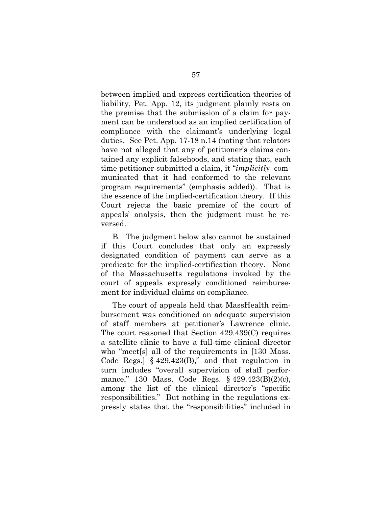between implied and express certification theories of liability, Pet. App. 12, its judgment plainly rests on the premise that the submission of a claim for payment can be understood as an implied certification of compliance with the claimant's underlying legal duties. See Pet. App. 17-18 n.14 (noting that relators have not alleged that any of petitioner's claims contained any explicit falsehoods, and stating that, each time petitioner submitted a claim, it "*implicitly* communicated that it had conformed to the relevant program requirements" (emphasis added)). That is the essence of the implied-certification theory. If this Court rejects the basic premise of the court of appeals' analysis, then the judgment must be reversed.

B. The judgment below also cannot be sustained if this Court concludes that only an expressly designated condition of payment can serve as a predicate for the implied-certification theory. None of the Massachusetts regulations invoked by the court of appeals expressly conditioned reimbursement for individual claims on compliance.

The court of appeals held that MassHealth reimbursement was conditioned on adequate supervision of staff members at petitioner's Lawrence clinic. The court reasoned that Section 429.439(C) requires a satellite clinic to have a full-time clinical director who "meet[s] all of the requirements in [130 Mass. Code Regs.]  $\S$  429.423(B)," and that regulation in turn includes "overall supervision of staff performance," 130 Mass. Code Regs. § 429.423(B)(2)(c), among the list of the clinical director's "specific responsibilities." But nothing in the regulations expressly states that the "responsibilities" included in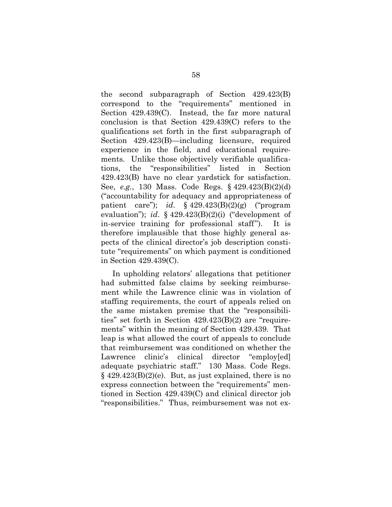the second subparagraph of Section 429.423(B) correspond to the "requirements" mentioned in Section 429.439(C). Instead, the far more natural conclusion is that Section 429.439(C) refers to the qualifications set forth in the first subparagraph of Section 429.423(B)—including licensure, required experience in the field, and educational requirements. Unlike those objectively verifiable qualifications, the "responsibilities" listed in Section 429.423(B) have no clear yardstick for satisfaction. See, *e.g.*, 130 Mass. Code Regs. § 429.423(B)(2)(d) ("accountability for adequacy and appropriateness of patient care"); *id*. § 429.423(B)(2)(g) ("program evaluation"); *id*. § 429.423(B)(2)(i) ("development of in-service training for professional staff"). It is therefore implausible that those highly general aspects of the clinical director's job description constitute "requirements" on which payment is conditioned in Section 429.439(C).

In upholding relators' allegations that petitioner had submitted false claims by seeking reimbursement while the Lawrence clinic was in violation of staffing requirements, the court of appeals relied on the same mistaken premise that the "responsibilities" set forth in Section 429.423(B)(2) are "requirements" within the meaning of Section 429.439. That leap is what allowed the court of appeals to conclude that reimbursement was conditioned on whether the Lawrence clinic's clinical director "employ[ed] adequate psychiatric staff." 130 Mass. Code Regs.  $\S$  429.423(B)(2)(e). But, as just explained, there is no express connection between the "requirements" mentioned in Section 429.439(C) and clinical director job "responsibilities." Thus, reimbursement was not ex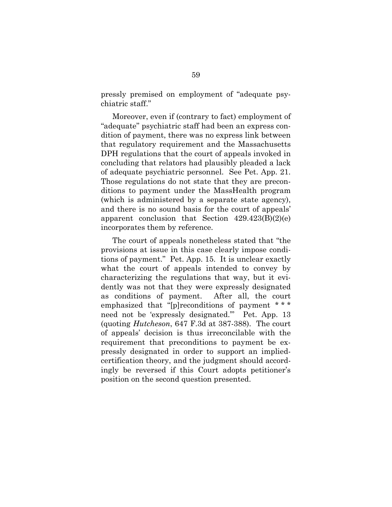pressly premised on employment of "adequate psychiatric staff."

Moreover, even if (contrary to fact) employment of "adequate" psychiatric staff had been an express condition of payment, there was no express link between that regulatory requirement and the Massachusetts DPH regulations that the court of appeals invoked in concluding that relators had plausibly pleaded a lack of adequate psychiatric personnel. See Pet. App. 21. Those regulations do not state that they are preconditions to payment under the MassHealth program (which is administered by a separate state agency), and there is no sound basis for the court of appeals' apparent conclusion that Section  $429.423(B)(2)(e)$ incorporates them by reference.

The court of appeals nonetheless stated that "the provisions at issue in this case clearly impose conditions of payment." Pet. App. 15. It is unclear exactly what the court of appeals intended to convey by characterizing the regulations that way, but it evidently was not that they were expressly designated as conditions of payment. After all, the court emphasized that "[p]reconditions of payment \* \* \* need not be 'expressly designated.'" Pet. App. 13 (quoting *Hutcheson*, 647 F.3d at 387-388). The court of appeals' decision is thus irreconcilable with the requirement that preconditions to payment be expressly designated in order to support an impliedcertification theory, and the judgment should accordingly be reversed if this Court adopts petitioner's position on the second question presented.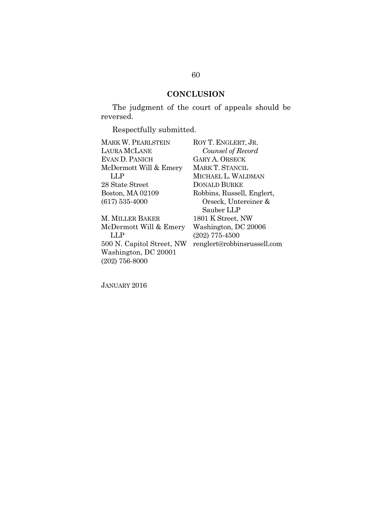# **CONCLUSION**

The judgment of the court of appeals should be reversed.

Respectfully submitted.

| MARK W. PEARLSTEIN        | ROY T. ENGLERT, JR.         |
|---------------------------|-----------------------------|
| LAURA MCLANE              | Counsel of Record           |
| EVAN D. PANICH            | <b>GARY A. ORSECK</b>       |
| McDermott Will & Emery    | <b>MARK T. STANCIL</b>      |
| LLP                       | MICHAEL L. WALDMAN          |
| 28 State Street           | <b>DONALD BURKE</b>         |
| Boston, MA 02109          | Robbins, Russell, Englert,  |
| $(617) 535 - 4000$        | Orseck, Untereiner &        |
|                           | Sauber LLP                  |
| M. MILLER BAKER           | 1801 K Street, NW           |
| McDermott Will & Emery    | Washington, DC 20006        |
| LLP                       | $(202)$ 775-4500            |
| 500 N. Capitol Street, NW | renglert@robbinsrussell.com |
| Washington, DC 20001      |                             |
| $(202)$ 756-8000          |                             |

JANUARY 2016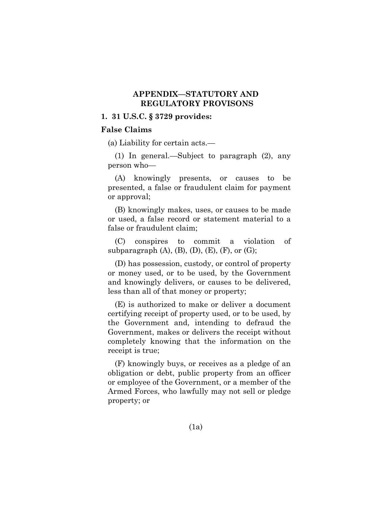## **APPENDIX—STATUTORY AND REGULATORY PROVISONS**

### **1. 31 U.S.C. § 3729 provides:**

### **False Claims**

(a) Liability for certain acts.—

(1) In general.—Subject to paragraph (2), any person who—

(A) knowingly presents, or causes to be presented, a false or fraudulent claim for payment or approval;

(B) knowingly makes, uses, or causes to be made or used, a false record or statement material to a false or fraudulent claim;

(C) conspires to commit a violation of subparagraph  $(A)$ ,  $(B)$ ,  $(D)$ ,  $(E)$ ,  $(F)$ , or  $(G)$ ;

(D) has possession, custody, or control of property or money used, or to be used, by the Government and knowingly delivers, or causes to be delivered, less than all of that money or property;

(E) is authorized to make or deliver a document certifying receipt of property used, or to be used, by the Government and, intending to defraud the Government, makes or delivers the receipt without completely knowing that the information on the receipt is true;

(F) knowingly buys, or receives as a pledge of an obligation or debt, public property from an officer or employee of the Government, or a member of the Armed Forces, who lawfully may not sell or pledge property; or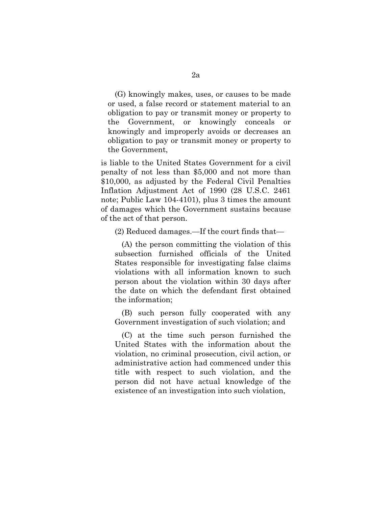(G) knowingly makes, uses, or causes to be made or used, a false record or statement material to an obligation to pay or transmit money or property to the Government, or knowingly conceals or knowingly and improperly avoids or decreases an obligation to pay or transmit money or property to the Government,

is liable to the United States Government for a civil penalty of not less than \$5,000 and not more than \$10,000, as adjusted by the Federal Civil Penalties Inflation Adjustment Act of 1990 (28 U.S.C. 2461 note; Public Law 104-4101), plus 3 times the amount of damages which the Government sustains because of the act of that person.

(2) Reduced damages.—If the court finds that—

(A) the person committing the violation of this subsection furnished officials of the United States responsible for investigating false claims violations with all information known to such person about the violation within 30 days after the date on which the defendant first obtained the information;

(B) such person fully cooperated with any Government investigation of such violation; and

(C) at the time such person furnished the United States with the information about the violation, no criminal prosecution, civil action, or administrative action had commenced under this title with respect to such violation, and the person did not have actual knowledge of the existence of an investigation into such violation,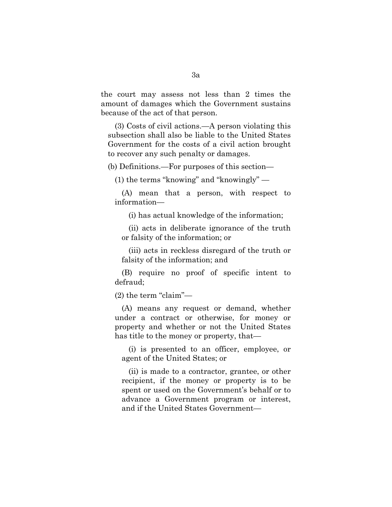the court may assess not less than 2 times the amount of damages which the Government sustains because of the act of that person.

(3) Costs of civil actions.—A person violating this subsection shall also be liable to the United States Government for the costs of a civil action brought to recover any such penalty or damages.

(b) Definitions.—For purposes of this section—

(1) the terms "knowing" and "knowingly" —

(A) mean that a person, with respect to information—

(i) has actual knowledge of the information;

(ii) acts in deliberate ignorance of the truth or falsity of the information; or

(iii) acts in reckless disregard of the truth or falsity of the information; and

(B) require no proof of specific intent to defraud;

(2) the term "claim"—

(A) means any request or demand, whether under a contract or otherwise, for money or property and whether or not the United States has title to the money or property, that—

(i) is presented to an officer, employee, or agent of the United States; or

(ii) is made to a contractor, grantee, or other recipient, if the money or property is to be spent or used on the Government's behalf or to advance a Government program or interest, and if the United States Government—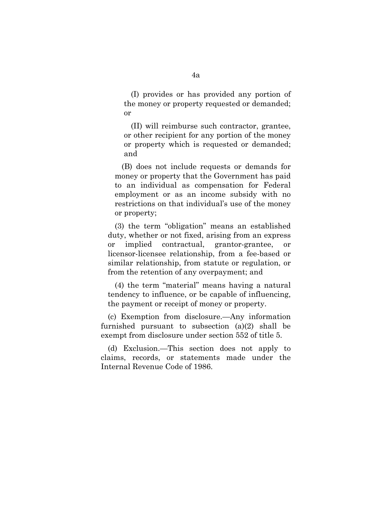(I) provides or has provided any portion of the money or property requested or demanded; or

(II) will reimburse such contractor, grantee, or other recipient for any portion of the money or property which is requested or demanded; and

(B) does not include requests or demands for money or property that the Government has paid to an individual as compensation for Federal employment or as an income subsidy with no restrictions on that individual's use of the money or property;

(3) the term "obligation" means an established duty, whether or not fixed, arising from an express or implied contractual, grantor-grantee, or licensor-licensee relationship, from a fee-based or similar relationship, from statute or regulation, or from the retention of any overpayment; and

(4) the term "material" means having a natural tendency to influence, or be capable of influencing, the payment or receipt of money or property.

(c) Exemption from disclosure.—Any information furnished pursuant to subsection (a)(2) shall be exempt from disclosure under section 552 of title 5.

(d) Exclusion.—This section does not apply to claims, records, or statements made under the Internal Revenue Code of 1986.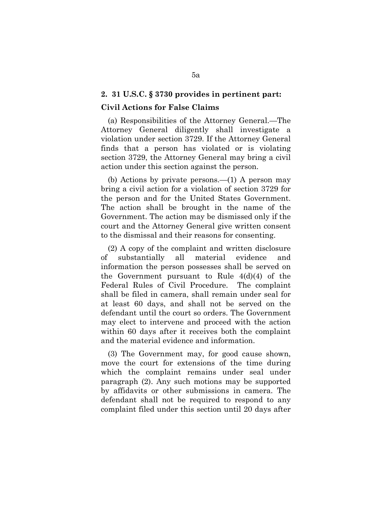### **2. 31 U.S.C. § 3730 provides in pertinent part:**

### **Civil Actions for False Claims**

(a) Responsibilities of the Attorney General.—The Attorney General diligently shall investigate a violation under section 3729. If the Attorney General finds that a person has violated or is violating section 3729, the Attorney General may bring a civil action under this section against the person.

(b) Actions by private persons.—(1) A person may bring a civil action for a violation of section 3729 for the person and for the United States Government. The action shall be brought in the name of the Government. The action may be dismissed only if the court and the Attorney General give written consent to the dismissal and their reasons for consenting.

(2) A copy of the complaint and written disclosure of substantially all material evidence and information the person possesses shall be served on the Government pursuant to Rule 4(d)(4) of the Federal Rules of Civil Procedure. The complaint shall be filed in camera, shall remain under seal for at least 60 days, and shall not be served on the defendant until the court so orders. The Government may elect to intervene and proceed with the action within 60 days after it receives both the complaint and the material evidence and information.

(3) The Government may, for good cause shown, move the court for extensions of the time during which the complaint remains under seal under paragraph (2). Any such motions may be supported by affidavits or other submissions in camera. The defendant shall not be required to respond to any complaint filed under this section until 20 days after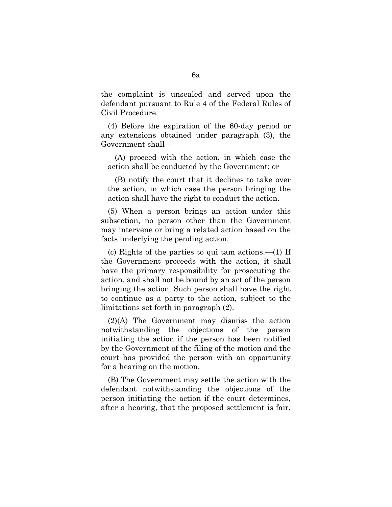the complaint is unsealed and served upon the defendant pursuant to Rule 4 of the Federal Rules of Civil Procedure.

(4) Before the expiration of the 60-day period or any extensions obtained under paragraph (3), the Government shall—

(A) proceed with the action, in which case the action shall be conducted by the Government; or

(B) notify the court that it declines to take over the action, in which case the person bringing the action shall have the right to conduct the action.

(5) When a person brings an action under this subsection, no person other than the Government may intervene or bring a related action based on the facts underlying the pending action.

(c) Rights of the parties to qui tam actions.—(1) If the Government proceeds with the action, it shall have the primary responsibility for prosecuting the action, and shall not be bound by an act of the person bringing the action. Such person shall have the right to continue as a party to the action, subject to the limitations set forth in paragraph (2).

(2)(A) The Government may dismiss the action notwithstanding the objections of the person initiating the action if the person has been notified by the Government of the filing of the motion and the court has provided the person with an opportunity for a hearing on the motion.

(B) The Government may settle the action with the defendant notwithstanding the objections of the person initiating the action if the court determines, after a hearing, that the proposed settlement is fair,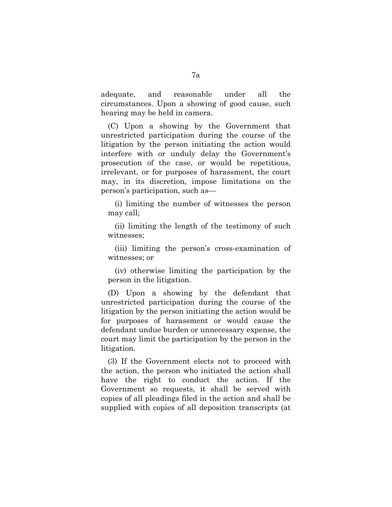adequate, and reasonable under all the circumstances. Upon a showing of good cause, such hearing may be held in camera.

(C) Upon a showing by the Government that unrestricted participation during the course of the litigation by the person initiating the action would interfere with or unduly delay the Government's prosecution of the case, or would be repetitious, irrelevant, or for purposes of harassment, the court may, in its discretion, impose limitations on the person's participation, such as—

(i) limiting the number of witnesses the person may call;

(ii) limiting the length of the testimony of such witnesses;

(iii) limiting the person's cross-examination of witnesses; or

(iv) otherwise limiting the participation by the person in the litigation.

(D) Upon a showing by the defendant that unrestricted participation during the course of the litigation by the person initiating the action would be for purposes of harassment or would cause the defendant undue burden or unnecessary expense, the court may limit the participation by the person in the litigation.

(3) If the Government elects not to proceed with the action, the person who initiated the action shall have the right to conduct the action. If the Government so requests, it shall be served with copies of all pleadings filed in the action and shall be supplied with copies of all deposition transcripts (at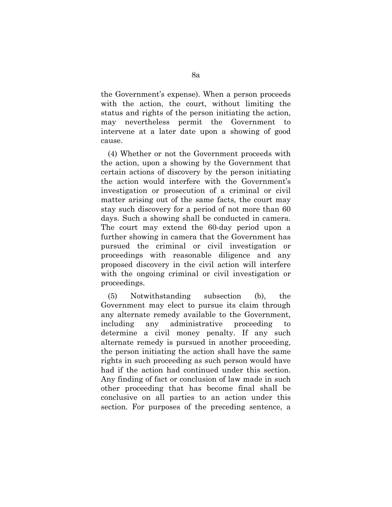the Government's expense). When a person proceeds with the action, the court, without limiting the status and rights of the person initiating the action, may nevertheless permit the Government to intervene at a later date upon a showing of good cause.

(4) Whether or not the Government proceeds with the action, upon a showing by the Government that certain actions of discovery by the person initiating the action would interfere with the Government's investigation or prosecution of a criminal or civil matter arising out of the same facts, the court may stay such discovery for a period of not more than 60 days. Such a showing shall be conducted in camera. The court may extend the 60-day period upon a further showing in camera that the Government has pursued the criminal or civil investigation or proceedings with reasonable diligence and any proposed discovery in the civil action will interfere with the ongoing criminal or civil investigation or proceedings.

(5) Notwithstanding subsection (b), the Government may elect to pursue its claim through any alternate remedy available to the Government, including any administrative proceeding to determine a civil money penalty. If any such alternate remedy is pursued in another proceeding, the person initiating the action shall have the same rights in such proceeding as such person would have had if the action had continued under this section. Any finding of fact or conclusion of law made in such other proceeding that has become final shall be conclusive on all parties to an action under this section. For purposes of the preceding sentence, a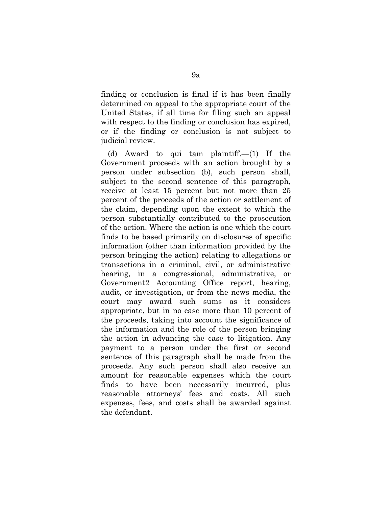finding or conclusion is final if it has been finally determined on appeal to the appropriate court of the United States, if all time for filing such an appeal with respect to the finding or conclusion has expired, or if the finding or conclusion is not subject to judicial review.

(d) Award to qui tam plaintiff.—(1) If the Government proceeds with an action brought by a person under subsection (b), such person shall, subject to the second sentence of this paragraph, receive at least 15 percent but not more than 25 percent of the proceeds of the action or settlement of the claim, depending upon the extent to which the person substantially contributed to the prosecution of the action. Where the action is one which the court finds to be based primarily on disclosures of specific information (other than information provided by the person bringing the action) relating to allegations or transactions in a criminal, civil, or administrative hearing, in a congressional, administrative, or Government2 Accounting Office report, hearing, audit, or investigation, or from the news media, the court may award such sums as it considers appropriate, but in no case more than 10 percent of the proceeds, taking into account the significance of the information and the role of the person bringing the action in advancing the case to litigation. Any payment to a person under the first or second sentence of this paragraph shall be made from the proceeds. Any such person shall also receive an amount for reasonable expenses which the court finds to have been necessarily incurred, plus reasonable attorneys' fees and costs. All such expenses, fees, and costs shall be awarded against the defendant.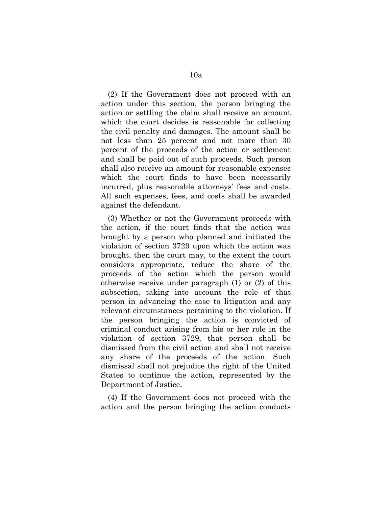(2) If the Government does not proceed with an action under this section, the person bringing the action or settling the claim shall receive an amount which the court decides is reasonable for collecting the civil penalty and damages. The amount shall be not less than 25 percent and not more than 30 percent of the proceeds of the action or settlement and shall be paid out of such proceeds. Such person shall also receive an amount for reasonable expenses which the court finds to have been necessarily incurred, plus reasonable attorneys' fees and costs. All such expenses, fees, and costs shall be awarded against the defendant.

(3) Whether or not the Government proceeds with the action, if the court finds that the action was brought by a person who planned and initiated the violation of section 3729 upon which the action was brought, then the court may, to the extent the court considers appropriate, reduce the share of the proceeds of the action which the person would otherwise receive under paragraph (1) or (2) of this subsection, taking into account the role of that person in advancing the case to litigation and any relevant circumstances pertaining to the violation. If the person bringing the action is convicted of criminal conduct arising from his or her role in the violation of section 3729, that person shall be dismissed from the civil action and shall not receive any share of the proceeds of the action. Such dismissal shall not prejudice the right of the United States to continue the action, represented by the Department of Justice.

(4) If the Government does not proceed with the action and the person bringing the action conducts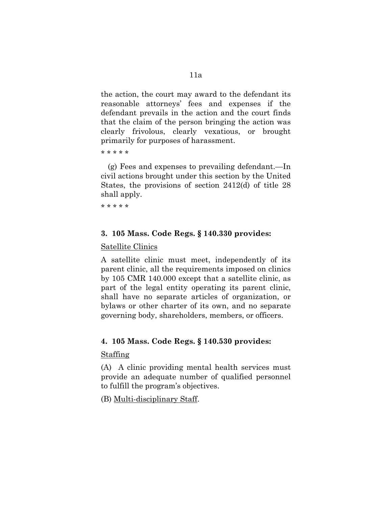the action, the court may award to the defendant its reasonable attorneys' fees and expenses if the defendant prevails in the action and the court finds that the claim of the person bringing the action was clearly frivolous, clearly vexatious, or brought primarily for purposes of harassment.

\* \* \* \* \*

(g) Fees and expenses to prevailing defendant.—In civil actions brought under this section by the United States, the provisions of section 2412(d) of title 28 shall apply.

\* \* \* \* \*

## **3. 105 Mass. Code Regs. § 140.330 provides:**

### Satellite Clinics

A satellite clinic must meet, independently of its parent clinic, all the requirements imposed on clinics by 105 CMR 140.000 except that a satellite clinic, as part of the legal entity operating its parent clinic, shall have no separate articles of organization, or bylaws or other charter of its own, and no separate governing body, shareholders, members, or officers.

### **4. 105 Mass. Code Regs. § 140.530 provides:**

## Staffing

(A) A clinic providing mental health services must provide an adequate number of qualified personnel to fulfill the program's objectives.

(B) Multi-disciplinary Staff.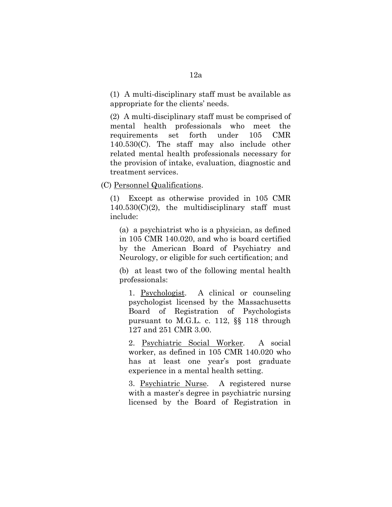(1) A multi-disciplinary staff must be available as appropriate for the clients' needs.

(2) A multi-disciplinary staff must be comprised of mental health professionals who meet the requirements set forth under 105 CMR 140.530(C). The staff may also include other related mental health professionals necessary for the provision of intake, evaluation, diagnostic and treatment services.

(C) Personnel Qualifications.

(1) Except as otherwise provided in 105 CMR  $140.530(C)(2)$ , the multidisciplinary staff must include:

(a) a psychiatrist who is a physician, as defined in 105 CMR 140.020, and who is board certified by the American Board of Psychiatry and Neurology, or eligible for such certification; and

(b) at least two of the following mental health professionals:

1. Psychologist. A clinical or counseling psychologist licensed by the Massachusetts Board of Registration of Psychologists pursuant to M.G.L. c. 112, §§ 118 through 127 and 251 CMR 3.00.

2. Psychiatric Social Worker. A social worker, as defined in 105 CMR 140.020 who has at least one year's post graduate experience in a mental health setting.

3. Psychiatric Nurse. A registered nurse with a master's degree in psychiatric nursing licensed by the Board of Registration in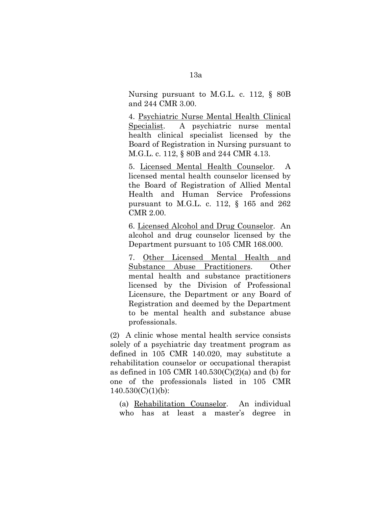Nursing pursuant to M.G.L. c. 112, § 80B and 244 CMR 3.00.

4. Psychiatric Nurse Mental Health Clinical Specialist. A psychiatric nurse mental health clinical specialist licensed by the Board of Registration in Nursing pursuant to M.G.L. c. 112, § 80B and 244 CMR 4.13.

5. Licensed Mental Health Counselor. A licensed mental health counselor licensed by the Board of Registration of Allied Mental Health and Human Service Professions pursuant to M.G.L. c. 112, § 165 and 262 CMR 2.00.

6. Licensed Alcohol and Drug Counselor. An alcohol and drug counselor licensed by the Department pursuant to 105 CMR 168.000.

7. Other Licensed Mental Health and Substance Abuse Practitioners. Other mental health and substance practitioners licensed by the Division of Professional Licensure, the Department or any Board of Registration and deemed by the Department to be mental health and substance abuse professionals.

(2) A clinic whose mental health service consists solely of a psychiatric day treatment program as defined in 105 CMR 140.020, may substitute a rehabilitation counselor or occupational therapist as defined in 105 CMR  $140.530(C)(2)(a)$  and (b) for one of the professionals listed in 105 CMR  $140.530(C)(1)(b)$ :

(a) Rehabilitation Counselor. An individual who has at least a master's degree in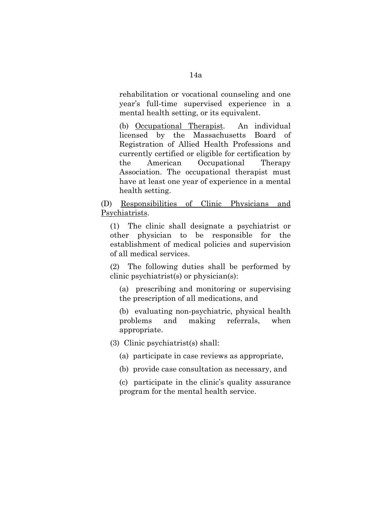rehabilitation or vocational counseling and one year's full-time supervised experience in a mental health setting, or its equivalent.

(b) Occupational Therapist. An individual licensed by the Massachusetts Board of Registration of Allied Health Professions and currently certified or eligible for certification by the American Occupational Therapy Association. The occupational therapist must have at least one year of experience in a mental health setting.

(D) Responsibilities of Clinic Physicians and Psychiatrists.

(1) The clinic shall designate a psychiatrist or other physician to be responsible for the establishment of medical policies and supervision of all medical services.

(2) The following duties shall be performed by clinic psychiatrist(s) or physician(s):

(a) prescribing and monitoring or supervising the prescription of all medications, and

(b) evaluating non-psychiatric, physical health problems and making referrals, when appropriate.

(3) Clinic psychiatrist(s) shall:

(a) participate in case reviews as appropriate,

(b) provide case consultation as necessary, and

(c) participate in the clinic's quality assurance program for the mental health service.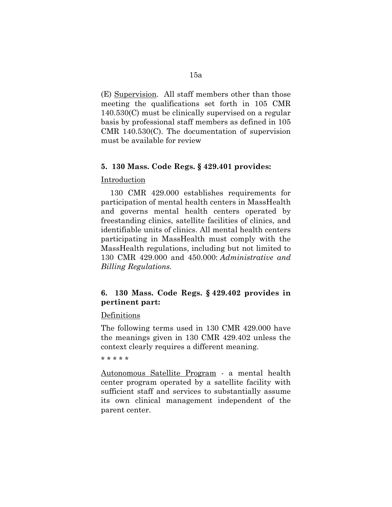(E) Supervision. All staff members other than those meeting the qualifications set forth in 105 CMR 140.530(C) must be clinically supervised on a regular basis by professional staff members as defined in 105 CMR 140.530(C). The documentation of supervision must be available for review

### **5. 130 Mass. Code Regs. § 429.401 provides:**

## Introduction

130 CMR 429.000 establishes requirements for participation of mental health centers in MassHealth and governs mental health centers operated by freestanding clinics, satellite facilities of clinics, and identifiable units of clinics. All mental health centers participating in MassHealth must comply with the MassHealth regulations, including but not limited to 130 CMR 429.000 and 450.000: *Administrative and Billing Regulations.*

# **6. 130 Mass. Code Regs. § 429.402 provides in pertinent part:**

### Definitions

The following terms used in 130 CMR 429.000 have the meanings given in 130 CMR 429.402 unless the context clearly requires a different meaning.

\* \* \* \* \*

Autonomous Satellite Program - a mental health center program operated by a satellite facility with sufficient staff and services to substantially assume its own clinical management independent of the parent center.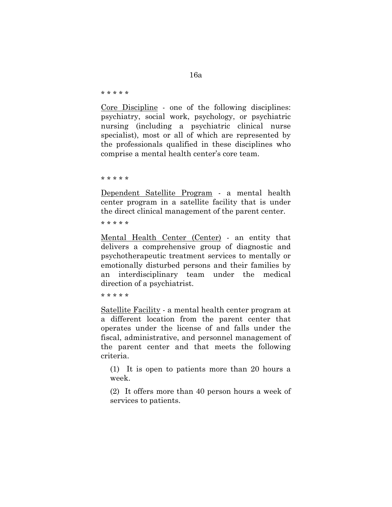# 16a

\* \* \* \* \*

Core Discipline - one of the following disciplines: psychiatry, social work, psychology, or psychiatric nursing (including a psychiatric clinical nurse specialist), most or all of which are represented by the professionals qualified in these disciplines who comprise a mental health center's core team.

\* \* \* \* \*

Dependent Satellite Program - a mental health center program in a satellite facility that is under the direct clinical management of the parent center.

\* \* \* \* \*

Mental Health Center (Center) - an entity that delivers a comprehensive group of diagnostic and psychotherapeutic treatment services to mentally or emotionally disturbed persons and their families by an interdisciplinary team under the medical direction of a psychiatrist.

\* \* \* \* \*

Satellite Facility - a mental health center program at a different location from the parent center that operates under the license of and falls under the fiscal, administrative, and personnel management of the parent center and that meets the following criteria.

(1) It is open to patients more than 20 hours a week.

(2) It offers more than 40 person hours a week of services to patients.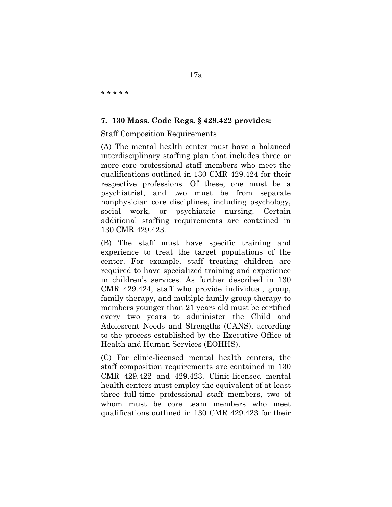\* \* \* \* \*

### **7. 130 Mass. Code Regs. § 429.422 provides:**

### Staff Composition Requirements

(A) The mental health center must have a balanced interdisciplinary staffing plan that includes three or more core professional staff members who meet the qualifications outlined in 130 CMR 429.424 for their respective professions. Of these, one must be a psychiatrist, and two must be from separate nonphysician core disciplines, including psychology, social work, or psychiatric nursing. Certain additional staffing requirements are contained in 130 CMR 429.423.

(B) The staff must have specific training and experience to treat the target populations of the center. For example, staff treating children are required to have specialized training and experience in children's services. As further described in 130 CMR 429.424, staff who provide individual, group, family therapy, and multiple family group therapy to members younger than 21 years old must be certified every two years to administer the Child and Adolescent Needs and Strengths (CANS), according to the process established by the Executive Office of Health and Human Services (EOHHS).

(C) For clinic-licensed mental health centers, the staff composition requirements are contained in 130 CMR 429.422 and 429.423. Clinic-licensed mental health centers must employ the equivalent of at least three full-time professional staff members, two of whom must be core team members who meet qualifications outlined in 130 CMR 429.423 for their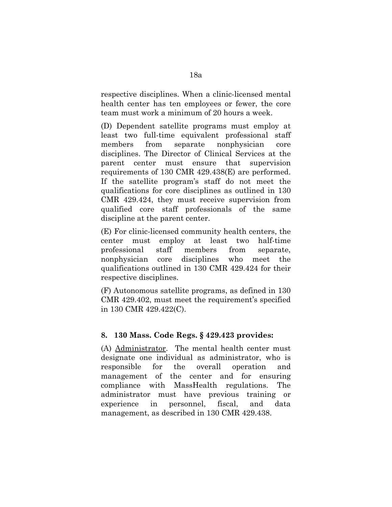respective disciplines. When a clinic-licensed mental health center has ten employees or fewer, the core team must work a minimum of 20 hours a week.

(D) Dependent satellite programs must employ at least two full-time equivalent professional staff members from separate nonphysician core disciplines. The Director of Clinical Services at the parent center must ensure that supervision requirements of 130 CMR 429.438(E) are performed. If the satellite program's staff do not meet the qualifications for core disciplines as outlined in 130 CMR 429.424, they must receive supervision from qualified core staff professionals of the same discipline at the parent center.

(E) For clinic-licensed community health centers, the center must employ at least two half-time professional staff members from separate, nonphysician core disciplines who meet the qualifications outlined in 130 CMR 429.424 for their respective disciplines.

(F) Autonomous satellite programs, as defined in 130 CMR 429.402, must meet the requirement's specified in 130 CMR 429.422(C).

# **8. 130 Mass. Code Regs. § 429.423 provides:**

(A) Administrator. The mental health center must designate one individual as administrator, who is responsible for the overall operation and management of the center and for ensuring compliance with MassHealth regulations. The administrator must have previous training or experience in personnel, fiscal, and data management, as described in 130 CMR 429.438.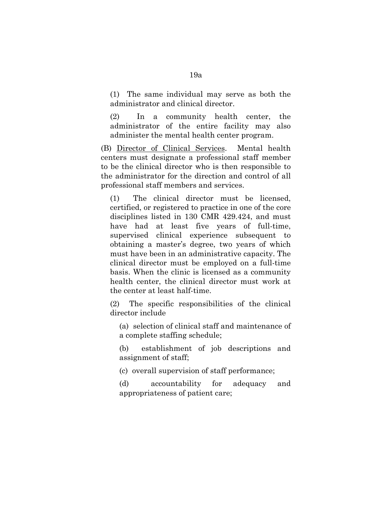(1) The same individual may serve as both the administrator and clinical director.

(2) In a community health center, the administrator of the entire facility may also administer the mental health center program.

(B) Director of Clinical Services. Mental health centers must designate a professional staff member to be the clinical director who is then responsible to the administrator for the direction and control of all professional staff members and services.

(1) The clinical director must be licensed, certified, or registered to practice in one of the core disciplines listed in 130 CMR 429.424, and must have had at least five years of full-time, supervised clinical experience subsequent to obtaining a master's degree, two years of which must have been in an administrative capacity. The clinical director must be employed on a full-time basis. When the clinic is licensed as a community health center, the clinical director must work at the center at least half-time.

(2) The specific responsibilities of the clinical director include

(a) selection of clinical staff and maintenance of a complete staffing schedule;

(b) establishment of job descriptions and assignment of staff;

(c) overall supervision of staff performance;

(d) accountability for adequacy and appropriateness of patient care;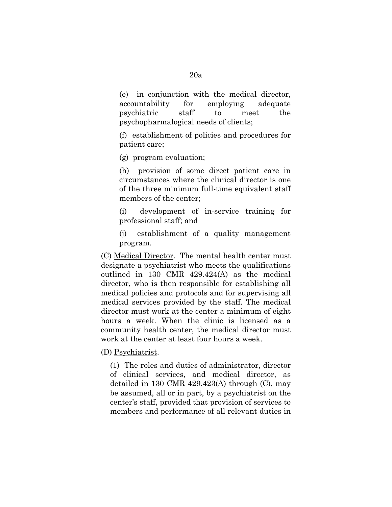(e) in conjunction with the medical director, accountability for employing adequate psychiatric staff to meet the psychopharmalogical needs of clients;

(f) establishment of policies and procedures for patient care;

(g) program evaluation;

(h) provision of some direct patient care in circumstances where the clinical director is one of the three minimum full-time equivalent staff members of the center;

(i) development of in-service training for professional staff; and

(j) establishment of a quality management program.

(C) Medical Director. The mental health center must designate a psychiatrist who meets the qualifications outlined in 130 CMR 429.424(A) as the medical director, who is then responsible for establishing all medical policies and protocols and for supervising all medical services provided by the staff. The medical director must work at the center a minimum of eight hours a week. When the clinic is licensed as a community health center, the medical director must work at the center at least four hours a week.

(D) Psychiatrist.

(1) The roles and duties of administrator, director of clinical services, and medical director, as detailed in 130 CMR 429.423(A) through (C), may be assumed, all or in part, by a psychiatrist on the center's staff, provided that provision of services to members and performance of all relevant duties in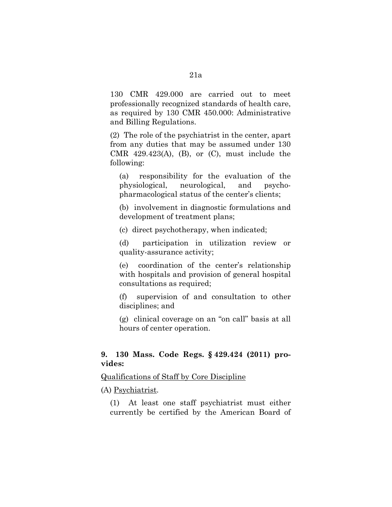130 CMR 429.000 are carried out to meet professionally recognized standards of health care, as required by 130 CMR 450.000: Administrative and Billing Regulations.

(2) The role of the psychiatrist in the center, apart from any duties that may be assumed under 130 CMR  $429.423(A)$ , (B), or (C), must include the following:

(a) responsibility for the evaluation of the physiological, neurological, and psychopharmacological status of the center's clients;

(b) involvement in diagnostic formulations and development of treatment plans;

(c) direct psychotherapy, when indicated;

(d) participation in utilization review or quality-assurance activity;

(e) coordination of the center's relationship with hospitals and provision of general hospital consultations as required;

(f) supervision of and consultation to other disciplines; and

(g) clinical coverage on an "on call" basis at all hours of center operation.

# **9. 130 Mass. Code Regs. § 429.424 (2011) provides:**

Qualifications of Staff by Core Discipline

(A) Psychiatrist.

(1) At least one staff psychiatrist must either currently be certified by the American Board of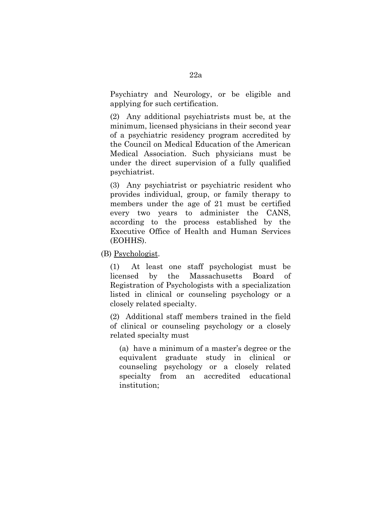Psychiatry and Neurology, or be eligible and applying for such certification.

(2) Any additional psychiatrists must be, at the minimum, licensed physicians in their second year of a psychiatric residency program accredited by the Council on Medical Education of the American Medical Association. Such physicians must be under the direct supervision of a fully qualified psychiatrist.

(3) Any psychiatrist or psychiatric resident who provides individual, group, or family therapy to members under the age of 21 must be certified every two years to administer the CANS, according to the process established by the Executive Office of Health and Human Services (EOHHS).

(B) Psychologist.

(1) At least one staff psychologist must be licensed by the Massachusetts Board of Registration of Psychologists with a specialization listed in clinical or counseling psychology or a closely related specialty.

(2) Additional staff members trained in the field of clinical or counseling psychology or a closely related specialty must

(a) have a minimum of a master's degree or the equivalent graduate study in clinical or counseling psychology or a closely related specialty from an accredited educational institution;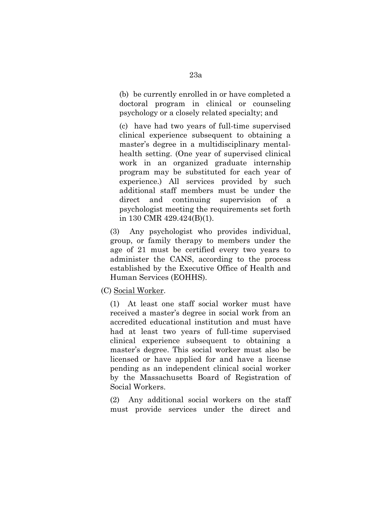(b) be currently enrolled in or have completed a doctoral program in clinical or counseling psychology or a closely related specialty; and

(c) have had two years of full-time supervised clinical experience subsequent to obtaining a master's degree in a multidisciplinary mentalhealth setting. (One year of supervised clinical work in an organized graduate internship program may be substituted for each year of experience.) All services provided by such additional staff members must be under the direct and continuing supervision of a psychologist meeting the requirements set forth in 130 CMR 429.424(B)(1).

(3) Any psychologist who provides individual, group, or family therapy to members under the age of 21 must be certified every two years to administer the CANS, according to the process established by the Executive Office of Health and Human Services (EOHHS).

(C) Social Worker.

(1) At least one staff social worker must have received a master's degree in social work from an accredited educational institution and must have had at least two years of full-time supervised clinical experience subsequent to obtaining a master's degree. This social worker must also be licensed or have applied for and have a license pending as an independent clinical social worker by the Massachusetts Board of Registration of Social Workers.

(2) Any additional social workers on the staff must provide services under the direct and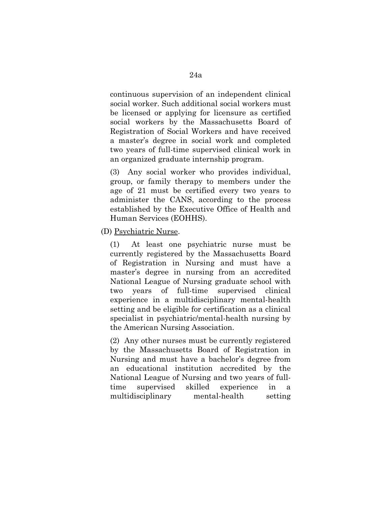continuous supervision of an independent clinical social worker. Such additional social workers must be licensed or applying for licensure as certified social workers by the Massachusetts Board of Registration of Social Workers and have received a master's degree in social work and completed two years of full-time supervised clinical work in an organized graduate internship program.

(3) Any social worker who provides individual, group, or family therapy to members under the age of 21 must be certified every two years to administer the CANS, according to the process established by the Executive Office of Health and Human Services (EOHHS).

(D) Psychiatric Nurse.

(1) At least one psychiatric nurse must be currently registered by the Massachusetts Board of Registration in Nursing and must have a master's degree in nursing from an accredited National League of Nursing graduate school with two years of full-time supervised clinical experience in a multidisciplinary mental-health setting and be eligible for certification as a clinical specialist in psychiatric/mental-health nursing by the American Nursing Association.

(2) Any other nurses must be currently registered by the Massachusetts Board of Registration in Nursing and must have a bachelor's degree from an educational institution accredited by the National League of Nursing and two years of fulltime supervised skilled experience in a multidisciplinary mental-health setting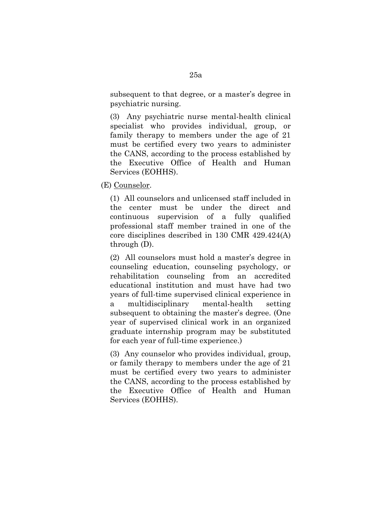subsequent to that degree, or a master's degree in psychiatric nursing.

(3) Any psychiatric nurse mental-health clinical specialist who provides individual, group, or family therapy to members under the age of 21 must be certified every two years to administer the CANS, according to the process established by the Executive Office of Health and Human Services (EOHHS).

(E) Counselor.

(1) All counselors and unlicensed staff included in the center must be under the direct and continuous supervision of a fully qualified professional staff member trained in one of the core disciplines described in 130 CMR 429.424(A) through (D).

(2) All counselors must hold a master's degree in counseling education, counseling psychology, or rehabilitation counseling from an accredited educational institution and must have had two years of full-time supervised clinical experience in a multidisciplinary mental-health setting subsequent to obtaining the master's degree. (One year of supervised clinical work in an organized graduate internship program may be substituted for each year of full-time experience.)

(3) Any counselor who provides individual, group, or family therapy to members under the age of 21 must be certified every two years to administer the CANS, according to the process established by the Executive Office of Health and Human Services (EOHHS).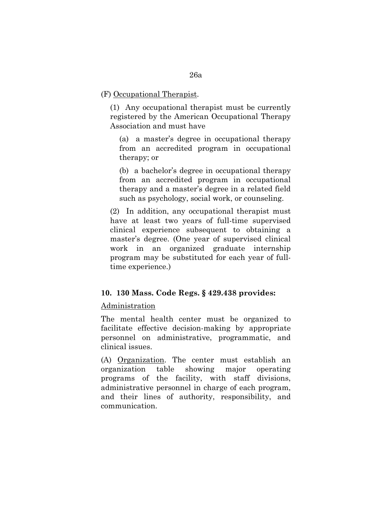### (F) Occupational Therapist.

(1) Any occupational therapist must be currently registered by the American Occupational Therapy Association and must have

(a) a master's degree in occupational therapy from an accredited program in occupational therapy; or

(b) a bachelor's degree in occupational therapy from an accredited program in occupational therapy and a master's degree in a related field such as psychology, social work, or counseling.

(2) In addition, any occupational therapist must have at least two years of full-time supervised clinical experience subsequent to obtaining a master's degree. (One year of supervised clinical work in an organized graduate internship program may be substituted for each year of fulltime experience.)

# **10. 130 Mass. Code Regs. § 429.438 provides:**

# Administration

The mental health center must be organized to facilitate effective decision-making by appropriate personnel on administrative, programmatic, and clinical issues.

(A) Organization. The center must establish an organization table showing major operating programs of the facility, with staff divisions, administrative personnel in charge of each program, and their lines of authority, responsibility, and communication.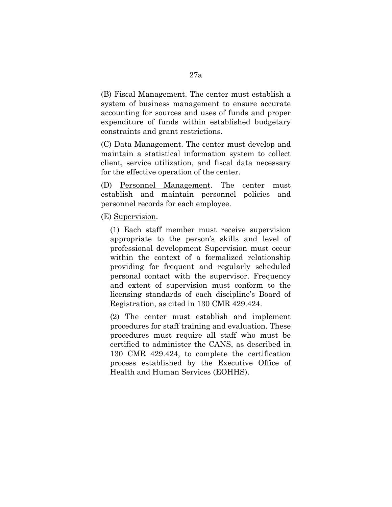(B) Fiscal Management. The center must establish a system of business management to ensure accurate accounting for sources and uses of funds and proper expenditure of funds within established budgetary constraints and grant restrictions.

(C) Data Management. The center must develop and maintain a statistical information system to collect client, service utilization, and fiscal data necessary for the effective operation of the center.

(D) Personnel Management. The center must establish and maintain personnel policies and personnel records for each employee.

(E) Supervision.

(1) Each staff member must receive supervision appropriate to the person's skills and level of professional development Supervision must occur within the context of a formalized relationship providing for frequent and regularly scheduled personal contact with the supervisor. Frequency and extent of supervision must conform to the licensing standards of each discipline's Board of Registration, as cited in 130 CMR 429.424.

(2) The center must establish and implement procedures for staff training and evaluation. These procedures must require all staff who must be certified to administer the CANS, as described in 130 CMR 429.424, to complete the certification process established by the Executive Office of Health and Human Services (EOHHS).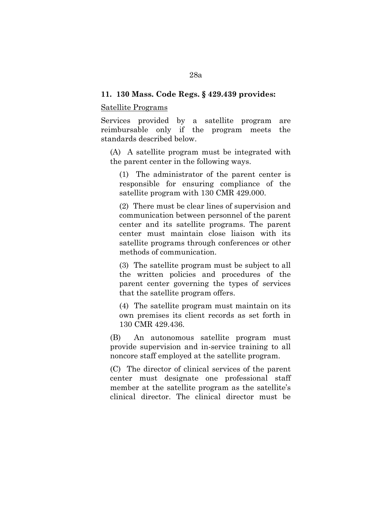### **11. 130 Mass. Code Regs. § 429.439 provides:**

#### Satellite Programs

Services provided by a satellite program are reimbursable only if the program meets the standards described below.

(A) A satellite program must be integrated with the parent center in the following ways.

(1) The administrator of the parent center is responsible for ensuring compliance of the satellite program with 130 CMR 429.000.

(2) There must be clear lines of supervision and communication between personnel of the parent center and its satellite programs. The parent center must maintain close liaison with its satellite programs through conferences or other methods of communication.

(3) The satellite program must be subject to all the written policies and procedures of the parent center governing the types of services that the satellite program offers.

(4) The satellite program must maintain on its own premises its client records as set forth in 130 CMR 429.436.

(B) An autonomous satellite program must provide supervision and in-service training to all noncore staff employed at the satellite program.

(C) The director of clinical services of the parent center must designate one professional staff member at the satellite program as the satellite's clinical director. The clinical director must be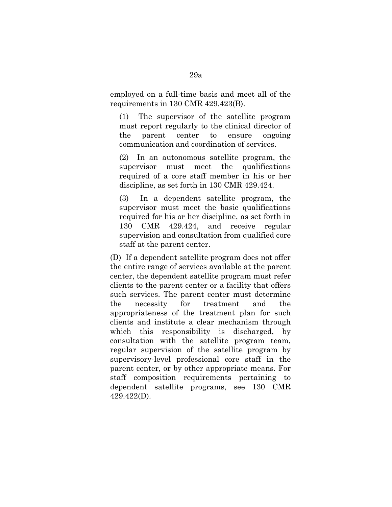employed on a full-time basis and meet all of the requirements in 130 CMR 429.423(B).

(1) The supervisor of the satellite program must report regularly to the clinical director of the parent center to ensure ongoing communication and coordination of services.

(2) In an autonomous satellite program, the supervisor must meet the qualifications required of a core staff member in his or her discipline, as set forth in 130 CMR 429.424.

(3) In a dependent satellite program, the supervisor must meet the basic qualifications required for his or her discipline, as set forth in 130 CMR 429.424, and receive regular supervision and consultation from qualified core staff at the parent center.

(D) If a dependent satellite program does not offer the entire range of services available at the parent center, the dependent satellite program must refer clients to the parent center or a facility that offers such services. The parent center must determine the necessity for treatment and the appropriateness of the treatment plan for such clients and institute a clear mechanism through which this responsibility is discharged, by consultation with the satellite program team, regular supervision of the satellite program by supervisory-level professional core staff in the parent center, or by other appropriate means. For staff composition requirements pertaining to dependent satellite programs, see 130 CMR 429.422(D).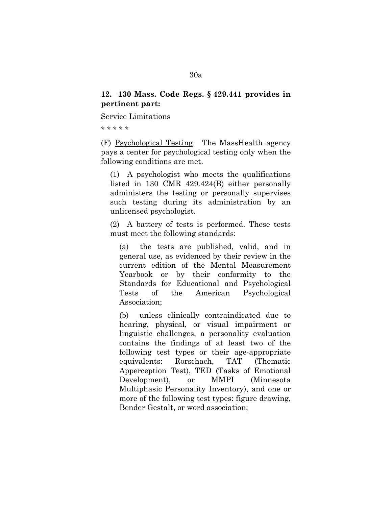# **12. 130 Mass. Code Regs. § 429.441 provides in pertinent part:**

Service Limitations

\* \* \* \* \*

(F) Psychological Testing. The MassHealth agency pays a center for psychological testing only when the following conditions are met.

(1) A psychologist who meets the qualifications listed in 130 CMR 429.424(B) either personally administers the testing or personally supervises such testing during its administration by an unlicensed psychologist.

(2) A battery of tests is performed. These tests must meet the following standards:

(a) the tests are published, valid, and in general use, as evidenced by their review in the current edition of the Mental Measurement Yearbook or by their conformity to the Standards for Educational and Psychological Tests of the American Psychological Association;

(b) unless clinically contraindicated due to hearing, physical, or visual impairment or linguistic challenges, a personality evaluation contains the findings of at least two of the following test types or their age-appropriate equivalents: Rorschach, TAT (Thematic Apperception Test), TED (Tasks of Emotional Development), or MMPI (Minnesota Multiphasic Personality Inventory), and one or more of the following test types: figure drawing, Bender Gestalt, or word association;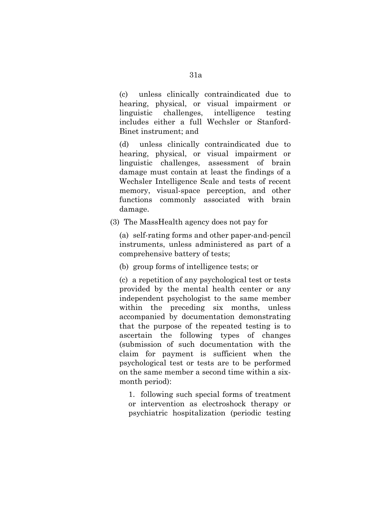(c) unless clinically contraindicated due to hearing, physical, or visual impairment or linguistic challenges, intelligence testing includes either a full Wechsler or Stanford-Binet instrument; and

(d) unless clinically contraindicated due to hearing, physical, or visual impairment or linguistic challenges, assessment of brain damage must contain at least the findings of a Wechsler Intelligence Scale and tests of recent memory, visual-space perception, and other functions commonly associated with brain damage.

(3) The MassHealth agency does not pay for

(a) self-rating forms and other paper-and-pencil instruments, unless administered as part of a comprehensive battery of tests;

(b) group forms of intelligence tests; or

(c) a repetition of any psychological test or tests provided by the mental health center or any independent psychologist to the same member within the preceding six months, unless accompanied by documentation demonstrating that the purpose of the repeated testing is to ascertain the following types of changes (submission of such documentation with the claim for payment is sufficient when the psychological test or tests are to be performed on the same member a second time within a sixmonth period):

1. following such special forms of treatment or intervention as electroshock therapy or psychiatric hospitalization (periodic testing